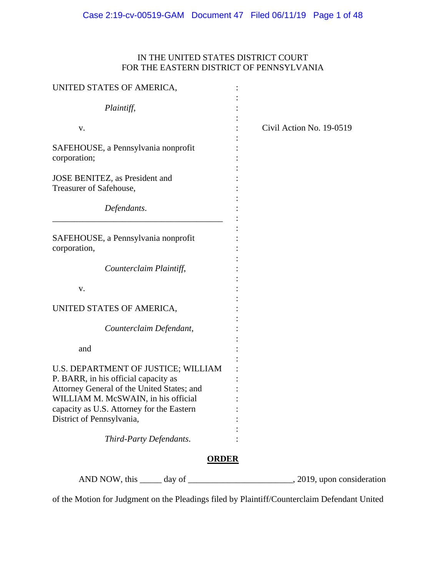# IN THE UNITED STATES DISTRICT COURT FOR THE EASTERN DISTRICT OF PENNSYLVANIA

| UNITED STATES OF AMERICA,                                                                                                                                                                                                                  |                          |
|--------------------------------------------------------------------------------------------------------------------------------------------------------------------------------------------------------------------------------------------|--------------------------|
| Plaintiff,                                                                                                                                                                                                                                 |                          |
| V.                                                                                                                                                                                                                                         | Civil Action No. 19-0519 |
| SAFEHOUSE, a Pennsylvania nonprofit<br>corporation;                                                                                                                                                                                        |                          |
| JOSE BENITEZ, as President and<br>Treasurer of Safehouse,                                                                                                                                                                                  |                          |
| Defendants.                                                                                                                                                                                                                                |                          |
| SAFEHOUSE, a Pennsylvania nonprofit<br>corporation,                                                                                                                                                                                        |                          |
| Counterclaim Plaintiff,                                                                                                                                                                                                                    |                          |
| V.                                                                                                                                                                                                                                         |                          |
| UNITED STATES OF AMERICA,                                                                                                                                                                                                                  |                          |
| Counterclaim Defendant,                                                                                                                                                                                                                    |                          |
| and                                                                                                                                                                                                                                        |                          |
| U.S. DEPARTMENT OF JUSTICE; WILLIAM<br>P. BARR, in his official capacity as<br>Attorney General of the United States; and<br>WILLIAM M. McSWAIN, in his official<br>capacity as U.S. Attorney for the Eastern<br>District of Pennsylvania, |                          |
| Third-Party Defendants.                                                                                                                                                                                                                    |                          |
| <b>ORDER</b>                                                                                                                                                                                                                               |                          |
| AND NOW, this<br>day of                                                                                                                                                                                                                    | 2019, upon consideration |

of the Motion for Judgment on the Pleadings filed by Plaintiff/Counterclaim Defendant United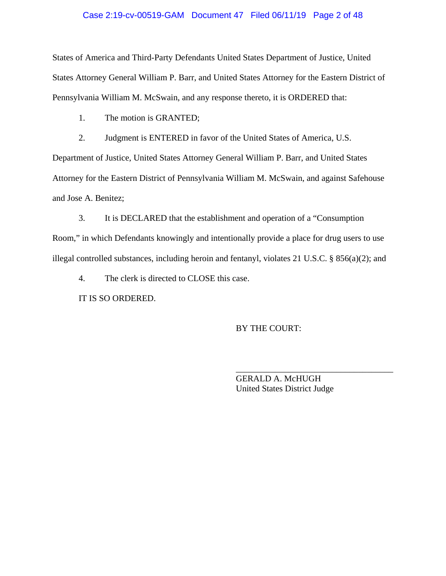#### Case 2:19-cv-00519-GAM Document 47 Filed 06/11/19 Page 2 of 48

States of America and Third-Party Defendants United States Department of Justice, United States Attorney General William P. Barr, and United States Attorney for the Eastern District of Pennsylvania William M. McSwain, and any response thereto, it is ORDERED that:

1. The motion is GRANTED;

2. Judgment is ENTERED in favor of the United States of America, U.S.

Department of Justice, United States Attorney General William P. Barr, and United States Attorney for the Eastern District of Pennsylvania William M. McSwain, and against Safehouse and Jose A. Benitez;

3. It is DECLARED that the establishment and operation of a "Consumption Room," in which Defendants knowingly and intentionally provide a place for drug users to use illegal controlled substances, including heroin and fentanyl, violates 21 U.S.C. § 856(a)(2); and

4. The clerk is directed to CLOSE this case.

IT IS SO ORDERED.

BY THE COURT:

GERALD A. McHUGH United States District Judge

\_\_\_\_\_\_\_\_\_\_\_\_\_\_\_\_\_\_\_\_\_\_\_\_\_\_\_\_\_\_\_\_\_\_\_\_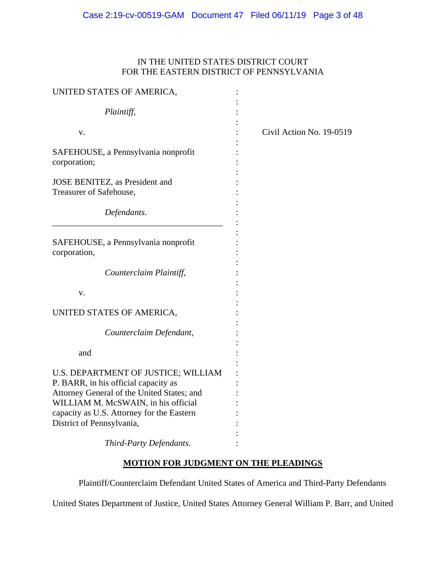# IN THE UNITED STATES DISTRICT COURT FOR THE EASTERN DISTRICT OF PENNSYLVANIA

| UNITED STATES OF AMERICA,                                                         |                          |
|-----------------------------------------------------------------------------------|--------------------------|
| Plaintiff,                                                                        |                          |
| V.                                                                                | Civil Action No. 19-0519 |
| SAFEHOUSE, a Pennsylvania nonprofit<br>corporation;                               |                          |
| JOSE BENITEZ, as President and<br>Treasurer of Safehouse,                         |                          |
| Defendants.                                                                       |                          |
| SAFEHOUSE, a Pennsylvania nonprofit<br>corporation,                               |                          |
| Counterclaim Plaintiff,                                                           |                          |
| V.                                                                                |                          |
| UNITED STATES OF AMERICA,                                                         |                          |
| Counterclaim Defendant,                                                           |                          |
| and                                                                               |                          |
| U.S. DEPARTMENT OF JUSTICE; WILLIAM<br>P. BARR, in his official capacity as       |                          |
| Attorney General of the United States; and<br>WILLIAM M. McSWAIN, in his official |                          |
| capacity as U.S. Attorney for the Eastern<br>District of Pennsylvania,            |                          |
| Third-Party Defendants.                                                           |                          |

# **MOTION FOR JUDGMENT ON THE PLEADINGS**

Plaintiff/Counterclaim Defendant United States of America and Third-Party Defendants

United States Department of Justice, United States Attorney General William P. Barr, and United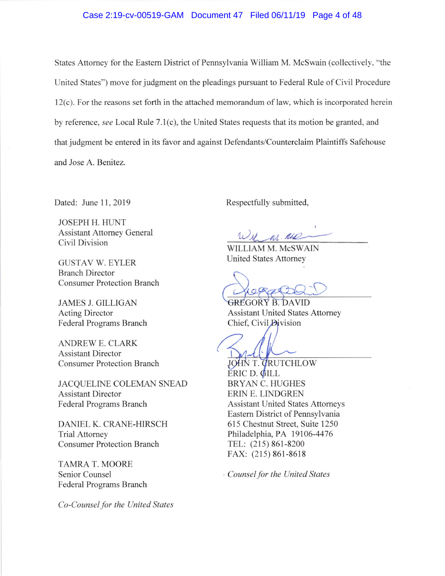#### Case 2:19-cv-00519-GAM Document 47 Filed 06/11/19 Page 4 of 48

States Attomey for the Eastem District of Pennsylvania William M. McSwain (collectively, "the United States") move for judgment on the pleadings pursuant to Federal Rule of Civil Procedure l2(c). For the reasons set forth in the attached memorandum of law, which is incorporated herein by reference, see Local Rule 7.1(c), the United States requests that its motion be granted, and that judgment be entered in its favor and against Defendants/Counterclaim Plaintiffs Safehouse and Jose A. Benitez.

JOSEPH H. HUNT Assistant Attomey General Civil Division

GUSTAV W. EYLER Branch Director Consumer Protection Branch

JAMES J, GILLIGAN Acting Director Federal Programs Branch

ANDREW E. CLARK Assistant Director Consumer Protection Branch

JACQUELINE COLEMAN SNEAD Assistant Director Federal Programs Branch

DANIEL K. CRANE-HIRSCH Trial Attorney Consumer Protection Branch

TAMRA T. MOORE Senior Counsel Federal Programs Branch

Co-Counsel for the United States

Dated: June 11, 2019 Respectfully submitted,

M. ALL

WILLIAM M. McSWAIN United States Attomey

GREGORY B. DAVID Assistant United States Attomey Chief, Civil Division

JOHN T. CRUTCHLOW ERIC D. GILL BRYAN C. HUGHES ERIN E. LINDGREN Assistant United States Attomeys Eastern District of Pennsylvania 615 Chestnut Street, Suite 1250 Philadelphia, PA 19106-4476 TEL: (215) 861-8200 FAX: (215) 861-8618

Counsel for the United States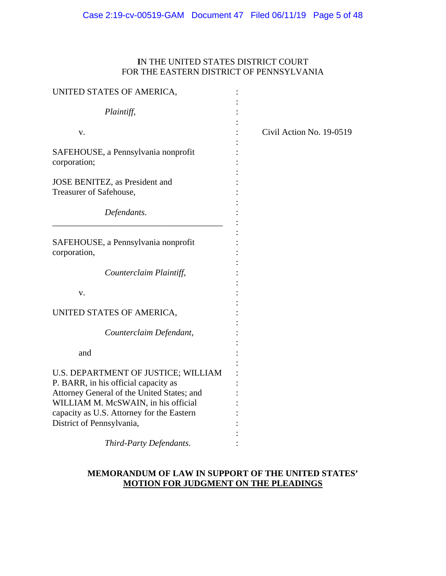# **I**N THE UNITED STATES DISTRICT COURT FOR THE EASTERN DISTRICT OF PENNSYLVANIA

| UNITED STATES OF AMERICA,                                                         |                          |
|-----------------------------------------------------------------------------------|--------------------------|
| Plaintiff,                                                                        |                          |
| V.                                                                                | Civil Action No. 19-0519 |
| SAFEHOUSE, a Pennsylvania nonprofit<br>corporation;                               |                          |
| JOSE BENITEZ, as President and<br>Treasurer of Safehouse,                         |                          |
| Defendants.                                                                       |                          |
| SAFEHOUSE, a Pennsylvania nonprofit<br>corporation,                               |                          |
| Counterclaim Plaintiff,                                                           |                          |
| V.                                                                                |                          |
| UNITED STATES OF AMERICA,                                                         |                          |
| Counterclaim Defendant,                                                           |                          |
| and                                                                               |                          |
| U.S. DEPARTMENT OF JUSTICE; WILLIAM<br>P. BARR, in his official capacity as       |                          |
| Attorney General of the United States; and<br>WILLIAM M. McSWAIN, in his official |                          |
| capacity as U.S. Attorney for the Eastern<br>District of Pennsylvania,            |                          |
| Third-Party Defendants.                                                           |                          |
|                                                                                   |                          |

# **MEMORANDUM OF LAW IN SUPPORT OF THE UNITED STATES' MOTION FOR JUDGMENT ON THE PLEADINGS**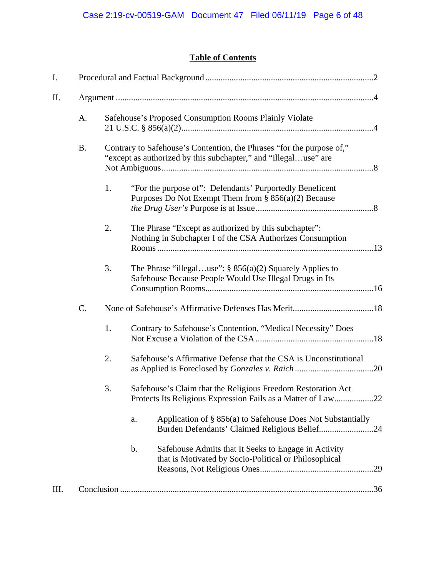# **Table of Contents**

| I.   |           |    |    |                                                                                                                                          |
|------|-----------|----|----|------------------------------------------------------------------------------------------------------------------------------------------|
| Π.   |           |    |    |                                                                                                                                          |
|      | A.        |    |    | Safehouse's Proposed Consumption Rooms Plainly Violate                                                                                   |
|      | <b>B.</b> |    |    | Contrary to Safehouse's Contention, the Phrases "for the purpose of,"<br>"except as authorized by this subchapter," and "illegaluse" are |
|      |           | 1. |    | "For the purpose of": Defendants' Purportedly Beneficent<br>Purposes Do Not Exempt Them from $\S$ 856(a)(2) Because                      |
|      |           | 2. |    | The Phrase "Except as authorized by this subchapter":<br>Nothing in Subchapter I of the CSA Authorizes Consumption                       |
|      |           | 3. |    | The Phrase "illegaluse": $\S$ 856(a)(2) Squarely Applies to<br>Safehouse Because People Would Use Illegal Drugs in Its                   |
|      | C.        |    |    |                                                                                                                                          |
|      |           | 1. |    | Contrary to Safehouse's Contention, "Medical Necessity" Does                                                                             |
|      |           | 2. |    | Safehouse's Affirmative Defense that the CSA is Unconstitutional                                                                         |
|      |           | 3. |    | Safehouse's Claim that the Religious Freedom Restoration Act<br>Protects Its Religious Expression Fails as a Matter of Law22             |
|      |           |    | a. | Application of § 856(a) to Safehouse Does Not Substantially<br>Burden Defendants' Claimed Religious Belief24                             |
|      |           |    | b. | Safehouse Admits that It Seeks to Engage in Activity<br>that is Motivated by Socio-Political or Philosophical                            |
| III. |           |    |    |                                                                                                                                          |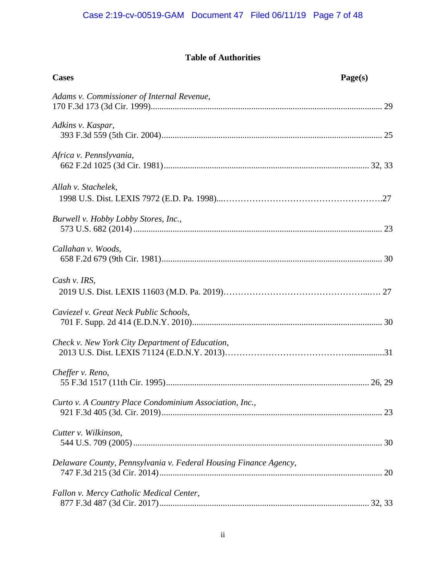# **Table of Authorities**

| <b>Cases</b>                                                     | Page(s) |
|------------------------------------------------------------------|---------|
| Adams v. Commissioner of Internal Revenue,                       |         |
| Adkins v. Kaspar,                                                |         |
| Africa v. Pennslyvania,                                          |         |
| Allah v. Stachelek,                                              |         |
| Burwell v. Hobby Lobby Stores, Inc.,                             |         |
| Callahan v. Woods,                                               |         |
| Cash v. IRS,                                                     |         |
| Caviezel v. Great Neck Public Schools,                           |         |
| Check v. New York City Department of Education,                  |         |
| Cheffer v. Reno,                                                 |         |
| Curto v. A Country Place Condominium Association, Inc.,          |         |
| Cutter v. Wilkinson,                                             |         |
| Delaware County, Pennsylvania v. Federal Housing Finance Agency, |         |
| Fallon v. Mercy Catholic Medical Center,                         |         |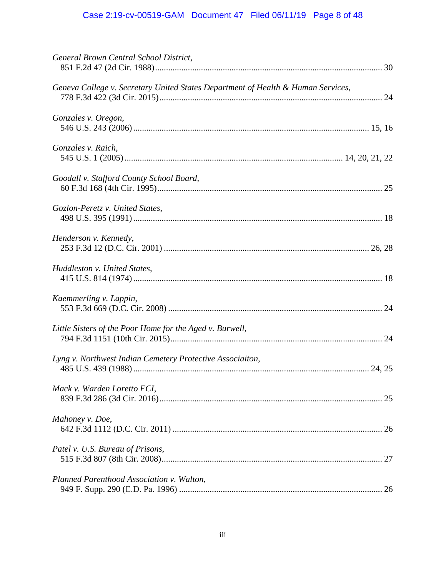# Case 2:19-cv-00519-GAM Document 47 Filed 06/11/19 Page 8 of 48

| General Brown Central School District,                                           |  |
|----------------------------------------------------------------------------------|--|
| Geneva College v. Secretary United States Department of Health & Human Services, |  |
| Gonzales v. Oregon,                                                              |  |
| Gonzales v. Raich,                                                               |  |
| Goodall v. Stafford County School Board,                                         |  |
| Gozlon-Peretz v. United States,                                                  |  |
| Henderson v. Kennedy,                                                            |  |
| Huddleston v. United States,                                                     |  |
| Kaemmerling v. Lappin,                                                           |  |
| Little Sisters of the Poor Home for the Aged v. Burwell,                         |  |
| Lyng v. Northwest Indian Cemetery Protective Associaiton,                        |  |
| Mack v. Warden Loretto FCI,                                                      |  |
| Mahoney v. Doe,                                                                  |  |
| Patel v. U.S. Bureau of Prisons,                                                 |  |
| Planned Parenthood Association v. Walton,                                        |  |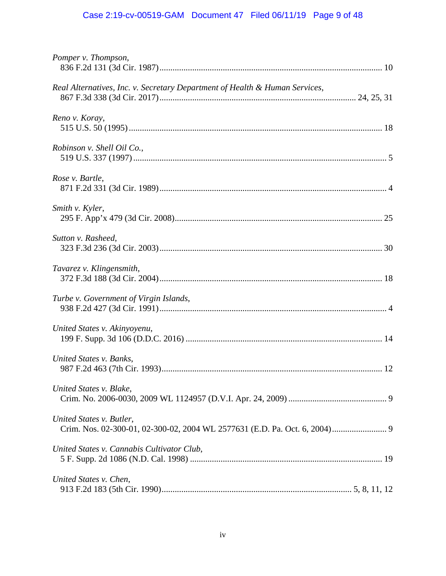# Case 2:19-cv-00519-GAM Document 47 Filed 06/11/19 Page 9 of 48

| Pomper v. Thompson,                                                         |  |
|-----------------------------------------------------------------------------|--|
| Real Alternatives, Inc. v. Secretary Department of Health & Human Services, |  |
| Reno v. Koray,                                                              |  |
| Robinson v. Shell Oil Co.,                                                  |  |
| Rose v. Bartle,                                                             |  |
| Smith v. Kyler,                                                             |  |
| Sutton v. Rasheed,                                                          |  |
| Tavarez v. Klingensmith,                                                    |  |
| Turbe v. Government of Virgin Islands,                                      |  |
| United States v. Akinyoyenu,                                                |  |
| United States v. Banks,                                                     |  |
| United States v. Blake,                                                     |  |
| United States v. Butler,                                                    |  |
| United States v. Cannabis Cultivator Club,                                  |  |
| United States v. Chen,                                                      |  |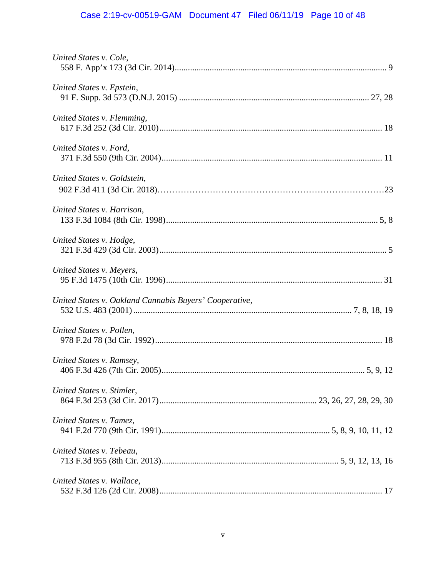# Case 2:19-cv-00519-GAM Document 47 Filed 06/11/19 Page 10 of 48

| United States v. Cole,                                 |  |
|--------------------------------------------------------|--|
| United States v. Epstein,                              |  |
| United States v. Flemming,                             |  |
| United States v. Ford,                                 |  |
| United States v. Goldstein,                            |  |
| United States v. Harrison,                             |  |
| United States v. Hodge,                                |  |
| United States v. Meyers,                               |  |
| United States v. Oakland Cannabis Buyers' Cooperative, |  |
| United States v. Pollen,                               |  |
| United States v. Ramsey,                               |  |
| United States v. Stimler,                              |  |
| United States v. Tamez,                                |  |
| United States v. Tebeau,                               |  |
| United States v. Wallace,                              |  |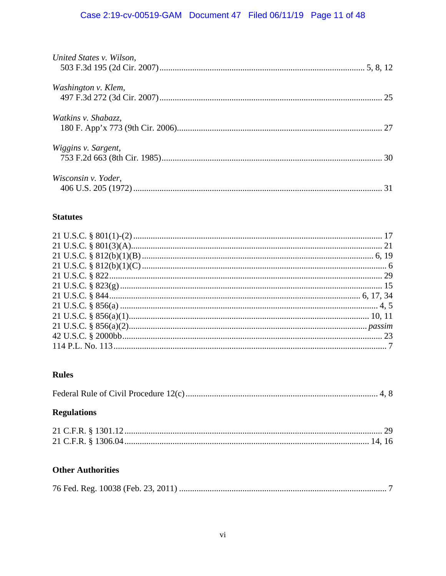# Case 2:19-cv-00519-GAM Document 47 Filed 06/11/19 Page 11 of 48

| United States v. Wilson,   |  |
|----------------------------|--|
| Washington v. Klem,        |  |
| <i>Watkins v. Shabazz,</i> |  |
| <i>Wiggins v. Sargent,</i> |  |
| Wisconsin v. Yoder,        |  |

# **Statutes**

# **Rules**

# **Regulations**

# **Other Authorities**

|--|--|--|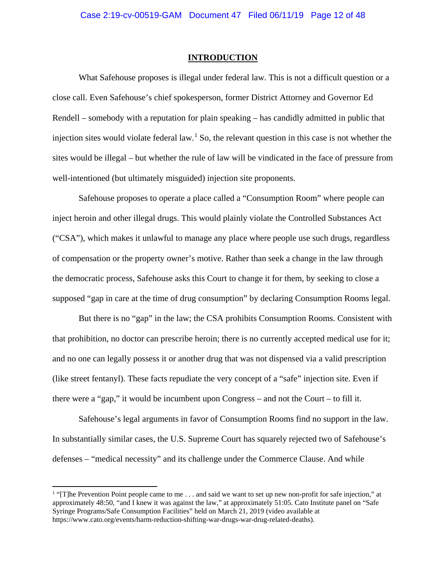#### **INTRODUCTION**

What Safehouse proposes is illegal under federal law. This is not a difficult question or a close call. Even Safehouse's chief spokesperson, former District Attorney and Governor Ed Rendell – somebody with a reputation for plain speaking – has candidly admitted in public that injection sites would violate federal law.<sup>[1](#page-11-0)</sup> So, the relevant question in this case is not whether the sites would be illegal – but whether the rule of law will be vindicated in the face of pressure from well-intentioned (but ultimately misguided) injection site proponents.

Safehouse proposes to operate a place called a "Consumption Room" where people can inject heroin and other illegal drugs. This would plainly violate the Controlled Substances Act ("CSA"), which makes it unlawful to manage any place where people use such drugs, regardless of compensation or the property owner's motive. Rather than seek a change in the law through the democratic process, Safehouse asks this Court to change it for them, by seeking to close a supposed "gap in care at the time of drug consumption" by declaring Consumption Rooms legal.

But there is no "gap" in the law; the CSA prohibits Consumption Rooms. Consistent with that prohibition, no doctor can prescribe heroin; there is no currently accepted medical use for it; and no one can legally possess it or another drug that was not dispensed via a valid prescription (like street fentanyl). These facts repudiate the very concept of a "safe" injection site. Even if there were a "gap," it would be incumbent upon Congress – and not the Court – to fill it.

Safehouse's legal arguments in favor of Consumption Rooms find no support in the law. In substantially similar cases, the U.S. Supreme Court has squarely rejected two of Safehouse's defenses – "medical necessity" and its challenge under the Commerce Clause. And while

<span id="page-11-0"></span><sup>&</sup>lt;sup>1</sup> "[T]he Prevention Point people came to me . . . and said we want to set up new non-profit for safe injection," at approximately 48:50, "and I knew it was against the law," at approximately 51:05. Cato Institute panel on "Safe Syringe Programs/Safe Consumption Facilities" held on March 21, 2019 (video available at https://www.cato.org/events/harm-reduction-shifting-war-drugs-war-drug-related-deaths).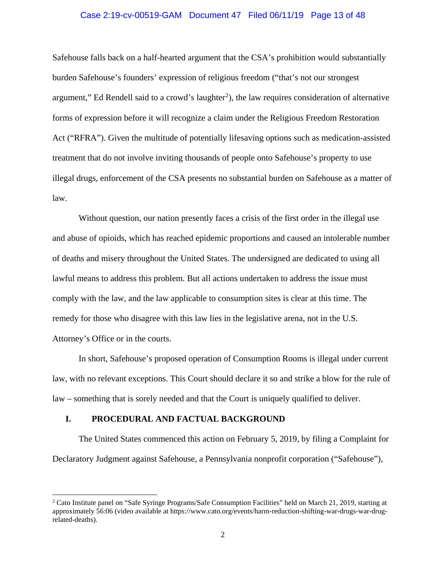## Case 2:19-cv-00519-GAM Document 47 Filed 06/11/19 Page 13 of 48

Safehouse falls back on a half-hearted argument that the CSA's prohibition would substantially burden Safehouse's founders' expression of religious freedom ("that's not our strongest argument," Ed Rendell said to a crowd's laughter<sup>[2](#page-12-0)</sup>), the law requires consideration of alternative forms of expression before it will recognize a claim under the Religious Freedom Restoration Act ("RFRA"). Given the multitude of potentially lifesaving options such as medication-assisted treatment that do not involve inviting thousands of people onto Safehouse's property to use illegal drugs, enforcement of the CSA presents no substantial burden on Safehouse as a matter of law.

Without question, our nation presently faces a crisis of the first order in the illegal use and abuse of opioids, which has reached epidemic proportions and caused an intolerable number of deaths and misery throughout the United States. The undersigned are dedicated to using all lawful means to address this problem. But all actions undertaken to address the issue must comply with the law, and the law applicable to consumption sites is clear at this time. The remedy for those who disagree with this law lies in the legislative arena, not in the U.S. Attorney's Office or in the courts.

In short, Safehouse's proposed operation of Consumption Rooms is illegal under current law, with no relevant exceptions. This Court should declare it so and strike a blow for the rule of law – something that is sorely needed and that the Court is uniquely qualified to deliver.

#### **I. PROCEDURAL AND FACTUAL BACKGROUND**

The United States commenced this action on February 5, 2019, by filing a Complaint for Declaratory Judgment against Safehouse, a Pennsylvania nonprofit corporation ("Safehouse"),

<span id="page-12-0"></span> <sup>2</sup> Cato Institute panel on "Safe Syringe Programs/Safe Consumption Facilities" held on March 21, 2019, starting at approximately 56:06 (video available at https://www.cato.org/events/harm-reduction-shifting-war-drugs-war-drugrelated-deaths).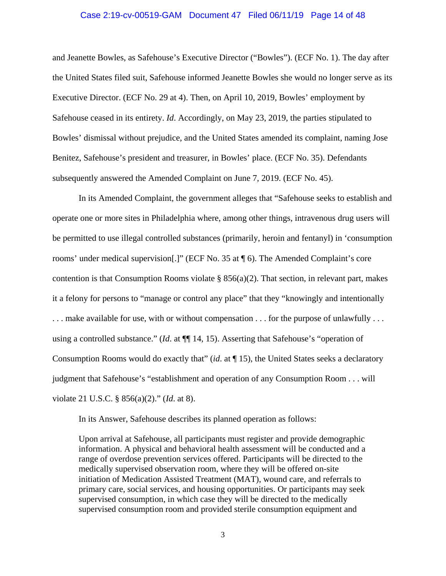#### Case 2:19-cv-00519-GAM Document 47 Filed 06/11/19 Page 14 of 48

and Jeanette Bowles, as Safehouse's Executive Director ("Bowles"). (ECF No. 1). The day after the United States filed suit, Safehouse informed Jeanette Bowles she would no longer serve as its Executive Director. (ECF No. 29 at 4). Then, on April 10, 2019, Bowles' employment by Safehouse ceased in its entirety. *Id*. Accordingly, on May 23, 2019, the parties stipulated to Bowles' dismissal without prejudice, and the United States amended its complaint, naming Jose Benitez, Safehouse's president and treasurer, in Bowles' place. (ECF No. 35). Defendants subsequently answered the Amended Complaint on June 7, 2019. (ECF No. 45).

In its Amended Complaint, the government alleges that "Safehouse seeks to establish and operate one or more sites in Philadelphia where, among other things, intravenous drug users will be permitted to use illegal controlled substances (primarily, heroin and fentanyl) in 'consumption rooms' under medical supervision[.]" (ECF No. 35 at ¶ 6). The Amended Complaint's core contention is that Consumption Rooms violate  $\S$  856(a)(2). That section, in relevant part, makes it a felony for persons to "manage or control any place" that they "knowingly and intentionally ... make available for use, with or without compensation ... for the purpose of unlawfully ... using a controlled substance." (*Id*. at ¶¶ 14, 15). Asserting that Safehouse's "operation of Consumption Rooms would do exactly that" (*id*. at ¶ 15), the United States seeks a declaratory judgment that Safehouse's "establishment and operation of any Consumption Room . . . will violate 21 U.S.C. § 856(a)(2)." (*Id*. at 8).

In its Answer, Safehouse describes its planned operation as follows:

Upon arrival at Safehouse, all participants must register and provide demographic information. A physical and behavioral health assessment will be conducted and a range of overdose prevention services offered. Participants will be directed to the medically supervised observation room, where they will be offered on-site initiation of Medication Assisted Treatment (MAT), wound care, and referrals to primary care, social services, and housing opportunities. Or participants may seek supervised consumption, in which case they will be directed to the medically supervised consumption room and provided sterile consumption equipment and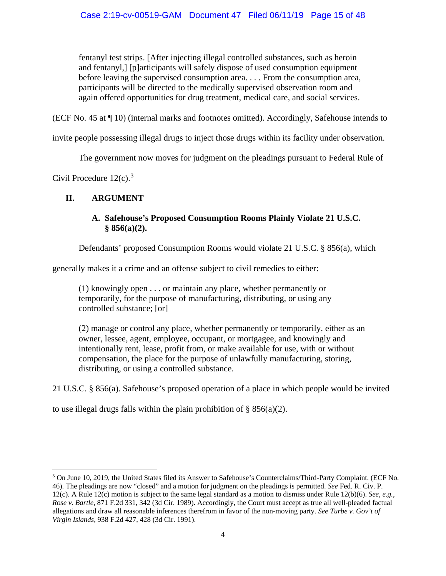fentanyl test strips. [After injecting illegal controlled substances, such as heroin and fentanyl,] [p]articipants will safely dispose of used consumption equipment before leaving the supervised consumption area. . . . From the consumption area, participants will be directed to the medically supervised observation room and again offered opportunities for drug treatment, medical care, and social services.

(ECF No. 45 at ¶ 10) (internal marks and footnotes omitted). Accordingly, Safehouse intends to

invite people possessing illegal drugs to inject those drugs within its facility under observation.

The government now moves for judgment on the pleadings pursuant to Federal Rule of

Civil Procedure  $12(c)$ .<sup>[3](#page-14-0)</sup>

# **II. ARGUMENT**

# **A. Safehouse's Proposed Consumption Rooms Plainly Violate 21 U.S.C. § 856(a)(2).**

Defendants' proposed Consumption Rooms would violate 21 U.S.C. § 856(a), which

generally makes it a crime and an offense subject to civil remedies to either:

(1) knowingly open . . . or maintain any place, whether permanently or temporarily, for the purpose of manufacturing, distributing, or using any controlled substance; [or]

(2) manage or control any place, whether permanently or temporarily, either as an owner, lessee, agent, employee, occupant, or mortgagee, and knowingly and intentionally rent, lease, profit from, or make available for use, with or without compensation, the place for the purpose of unlawfully manufacturing, storing, distributing, or using a controlled substance.

21 U.S.C. § 856(a). Safehouse's proposed operation of a place in which people would be invited

to use illegal drugs falls within the plain prohibition of  $\S$  856(a)(2).

<span id="page-14-0"></span> <sup>3</sup> On June 10, 2019, the United States filed its Answer to Safehouse's Counterclaims/Third-Party Complaint. (ECF No. 46). The pleadings are now "closed" and a motion for judgment on the pleadings is permitted. *See* Fed. R. Civ. P. 12(c). A Rule 12(c) motion is subject to the same legal standard as a motion to dismiss under Rule 12(b)(6). *See*, *e.g.*, *Rose v. Bartle*, 871 F.2d 331, 342 (3d Cir. 1989). Accordingly, the Court must accept as true all well-pleaded factual allegations and draw all reasonable inferences therefrom in favor of the non-moving party. *See Turbe v. Gov't of Virgin Islands*, 938 F.2d 427, 428 (3d Cir. 1991).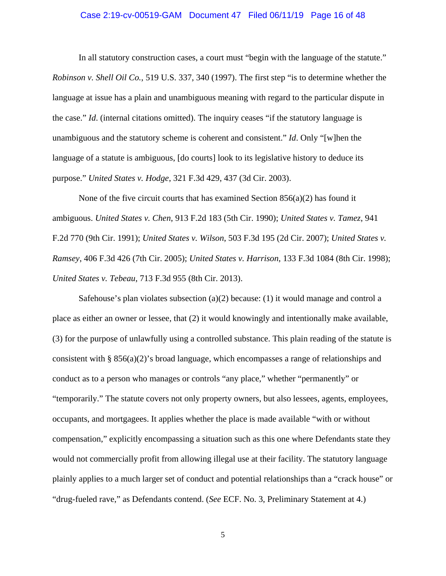#### Case 2:19-cv-00519-GAM Document 47 Filed 06/11/19 Page 16 of 48

In all statutory construction cases, a court must "begin with the language of the statute." *Robinson v. Shell Oil Co.*, 519 U.S. 337, 340 (1997). The first step "is to determine whether the language at issue has a plain and unambiguous meaning with regard to the particular dispute in the case." *Id*. (internal citations omitted). The inquiry ceases "if the statutory language is unambiguous and the statutory scheme is coherent and consistent." *Id*. Only "[w]hen the language of a statute is ambiguous, [do courts] look to its legislative history to deduce its purpose." *United States v. Hodge*, 321 F.3d 429, 437 (3d Cir. 2003).

None of the five circuit courts that has examined Section  $856(a)(2)$  has found it ambiguous. *United States v. Chen*, 913 F.2d 183 (5th Cir. 1990); *United States v. Tamez*, 941 F.2d 770 (9th Cir. 1991); *United States v. Wilson*, 503 F.3d 195 (2d Cir. 2007); *United States v. Ramsey*, 406 F.3d 426 (7th Cir. 2005); *United States v. Harrison*, 133 F.3d 1084 (8th Cir. 1998); *United States v. Tebeau*, 713 F.3d 955 (8th Cir. 2013).

Safehouse's plan violates subsection (a)(2) because: (1) it would manage and control a place as either an owner or lessee, that (2) it would knowingly and intentionally make available, (3) for the purpose of unlawfully using a controlled substance. This plain reading of the statute is consistent with § 856(a)(2)'s broad language, which encompasses a range of relationships and conduct as to a person who manages or controls "any place," whether "permanently" or "temporarily." The statute covers not only property owners, but also lessees, agents, employees, occupants, and mortgagees. It applies whether the place is made available "with or without compensation," explicitly encompassing a situation such as this one where Defendants state they would not commercially profit from allowing illegal use at their facility. The statutory language plainly applies to a much larger set of conduct and potential relationships than a "crack house" or "drug-fueled rave," as Defendants contend. (*See* ECF. No. 3, Preliminary Statement at 4.)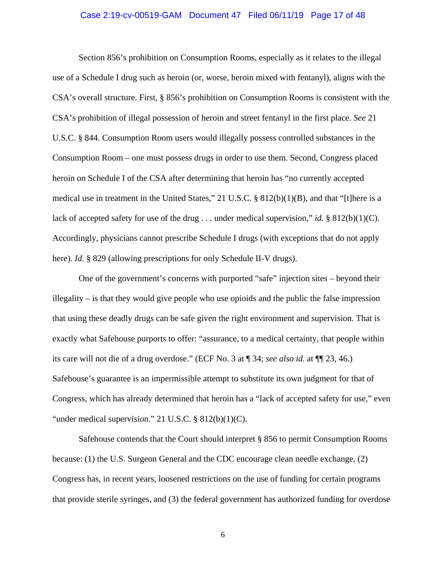#### Case 2:19-cv-00519-GAM Document 47 Filed 06/11/19 Page 17 of 48

Section 856's prohibition on Consumption Rooms, especially as it relates to the illegal use of a Schedule I drug such as heroin (or, worse, heroin mixed with fentanyl), aligns with the CSA's overall structure. First, § 856's prohibition on Consumption Rooms is consistent with the CSA's prohibition of illegal possession of heroin and street fentanyl in the first place. *See* 21 U.S.C. § 844. Consumption Room users would illegally possess controlled substances in the Consumption Room – one must possess drugs in order to use them. Second, Congress placed heroin on Schedule I of the CSA after determining that heroin has "no currently accepted medical use in treatment in the United States," 21 U.S.C. § 812(b)(1)(B), and that "[t]here is a lack of accepted safety for use of the drug . . . under medical supervision," *id.* § 812(b)(1)(C). Accordingly, physicians cannot prescribe Schedule I drugs (with exceptions that do not apply here). *Id.* § 829 (allowing prescriptions for only Schedule II-V drugs).

One of the government's concerns with purported "safe" injection sites – beyond their illegality – is that they would give people who use opioids and the public the false impression that using these deadly drugs can be safe given the right environment and supervision. That is exactly what Safehouse purports to offer: "assurance, to a medical certainty, that people within its care will not die of a drug overdose." (ECF No. 3 at ¶ 34; *see also id.* at ¶¶ 23, 46.) Safehouse's guarantee is an impermissible attempt to substitute its own judgment for that of Congress, which has already determined that heroin has a "lack of accepted safety for use," even "under medical supervision." 21 U.S.C.  $\S$  812(b)(1)(C).

Safehouse contends that the Court should interpret § 856 to permit Consumption Rooms because: (1) the U.S. Surgeon General and the CDC encourage clean needle exchange, (2) Congress has, in recent years, loosened restrictions on the use of funding for certain programs that provide sterile syringes, and (3) the federal government has authorized funding for overdose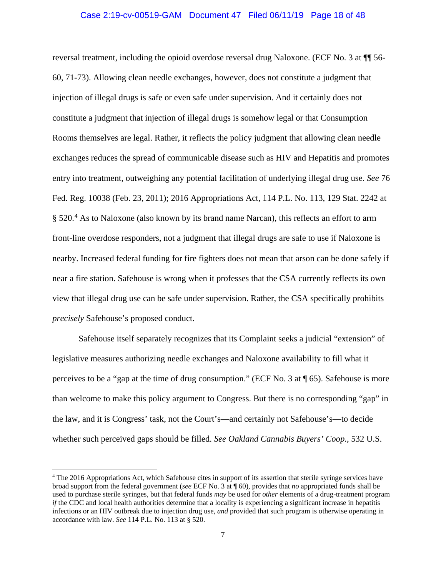#### Case 2:19-cv-00519-GAM Document 47 Filed 06/11/19 Page 18 of 48

reversal treatment, including the opioid overdose reversal drug Naloxone. (ECF No. 3 at ¶¶ 56- 60, 71-73). Allowing clean needle exchanges, however, does not constitute a judgment that injection of illegal drugs is safe or even safe under supervision. And it certainly does not constitute a judgment that injection of illegal drugs is somehow legal or that Consumption Rooms themselves are legal. Rather, it reflects the policy judgment that allowing clean needle exchanges reduces the spread of communicable disease such as HIV and Hepatitis and promotes entry into treatment, outweighing any potential facilitation of underlying illegal drug use. *See* 76 Fed. Reg. 10038 (Feb. 23, 2011); 2016 Appropriations Act, 114 P.L. No. 113, 129 Stat. 2242 at § 520.<sup>[4](#page-17-0)</sup> As to Naloxone (also known by its brand name Narcan), this reflects an effort to arm front-line overdose responders, not a judgment that illegal drugs are safe to use if Naloxone is nearby. Increased federal funding for fire fighters does not mean that arson can be done safely if near a fire station. Safehouse is wrong when it professes that the CSA currently reflects its own view that illegal drug use can be safe under supervision. Rather, the CSA specifically prohibits *precisely* Safehouse's proposed conduct.

Safehouse itself separately recognizes that its Complaint seeks a judicial "extension" of legislative measures authorizing needle exchanges and Naloxone availability to fill what it perceives to be a "gap at the time of drug consumption." (ECF No. 3 at ¶ 65). Safehouse is more than welcome to make this policy argument to Congress. But there is no corresponding "gap" in the law, and it is Congress' task, not the Court's—and certainly not Safehouse's—to decide whether such perceived gaps should be filled. *See Oakland Cannabis Buyers' Coop.*, 532 U.S.

<span id="page-17-0"></span> <sup>4</sup> The 2016 Appropriations Act, which Safehouse cites in support of its assertion that sterile syringe services have broad support from the federal government (*see* ECF No. 3 at ¶ 60), provides that *no* appropriated funds shall be used to purchase sterile syringes, but that federal funds *may* be used for *other* elements of a drug-treatment program *if* the CDC and local health authorities determine that a locality is experiencing a significant increase in hepatitis infections or an HIV outbreak due to injection drug use, *and* provided that such program is otherwise operating in accordance with law. *See* 114 P.L. No. 113 at § 520.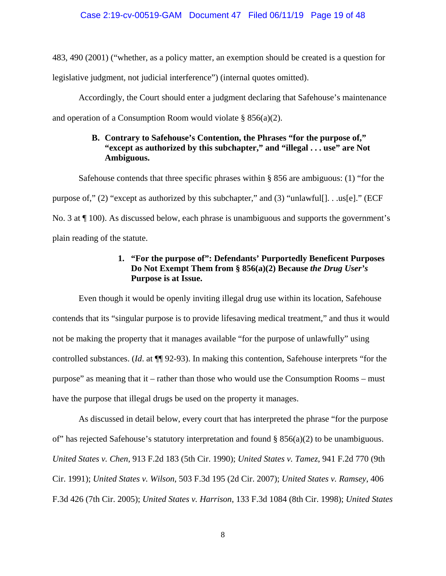483, 490 (2001) ("whether, as a policy matter, an exemption should be created is a question for

legislative judgment, not judicial interference") (internal quotes omitted).

Accordingly, the Court should enter a judgment declaring that Safehouse's maintenance

and operation of a Consumption Room would violate  $\S$  856(a)(2).

# **B. Contrary to Safehouse's Contention, the Phrases "for the purpose of," "except as authorized by this subchapter," and "illegal . . . use" are Not Ambiguous.**

Safehouse contends that three specific phrases within § 856 are ambiguous: (1) "for the purpose of," (2) "except as authorized by this subchapter," and (3) "unlawful[]. . .us[e]." (ECF No. 3 at ¶ 100). As discussed below, each phrase is unambiguous and supports the government's plain reading of the statute.

# **1. "For the purpose of": Defendants' Purportedly Beneficent Purposes Do Not Exempt Them from § 856(a)(2) Because** *the Drug User's* **Purpose is at Issue.**

Even though it would be openly inviting illegal drug use within its location, Safehouse contends that its "singular purpose is to provide lifesaving medical treatment," and thus it would not be making the property that it manages available "for the purpose of unlawfully" using controlled substances. (*Id*. at ¶¶ 92-93). In making this contention, Safehouse interprets "for the purpose" as meaning that it – rather than those who would use the Consumption Rooms – must have the purpose that illegal drugs be used on the property it manages.

As discussed in detail below, every court that has interpreted the phrase "for the purpose of" has rejected Safehouse's statutory interpretation and found § 856(a)(2) to be unambiguous. *United States v. Chen*, 913 F.2d 183 (5th Cir. 1990); *United States v. Tamez*, 941 F.2d 770 (9th Cir. 1991); *United States v. Wilson*, 503 F.3d 195 (2d Cir. 2007); *United States v. Ramsey*, 406 F.3d 426 (7th Cir. 2005); *United States v. Harrison*, 133 F.3d 1084 (8th Cir. 1998); *United States*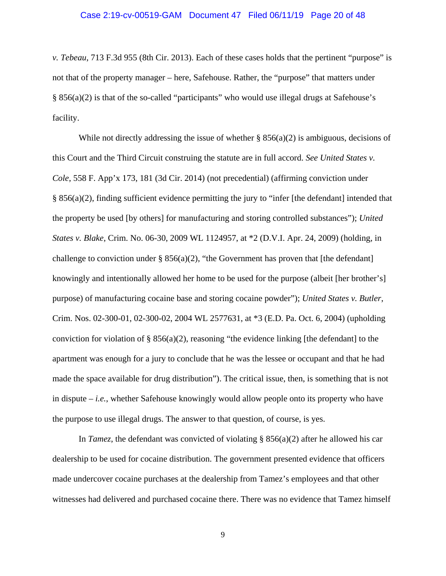#### Case 2:19-cv-00519-GAM Document 47 Filed 06/11/19 Page 20 of 48

*v. Tebeau*, 713 F.3d 955 (8th Cir. 2013). Each of these cases holds that the pertinent "purpose" is not that of the property manager – here, Safehouse. Rather, the "purpose" that matters under § 856(a)(2) is that of the so-called "participants" who would use illegal drugs at Safehouse's facility.

While not directly addressing the issue of whether  $\S 856(a)(2)$  is ambiguous, decisions of this Court and the Third Circuit construing the statute are in full accord. *See United States v. Cole*, 558 F. App'x 173, 181 (3d Cir. 2014) (not precedential) (affirming conviction under § 856(a)(2), finding sufficient evidence permitting the jury to "infer [the defendant] intended that the property be used [by others] for manufacturing and storing controlled substances"); *United States v. Blake*, Crim. No. 06-30, 2009 WL 1124957, at \*2 (D.V.I. Apr. 24, 2009) (holding, in challenge to conviction under §  $856(a)(2)$ , "the Government has proven that [the defendant] knowingly and intentionally allowed her home to be used for the purpose (albeit [her brother's] purpose) of manufacturing cocaine base and storing cocaine powder"); *United States v. Butler*, Crim. Nos. 02-300-01, 02-300-02, 2004 WL 2577631, at \*3 (E.D. Pa. Oct. 6, 2004) (upholding conviction for violation of  $\S$  856(a)(2), reasoning "the evidence linking [the defendant] to the apartment was enough for a jury to conclude that he was the lessee or occupant and that he had made the space available for drug distribution"). The critical issue, then, is something that is not in dispute – *i.e.*, whether Safehouse knowingly would allow people onto its property who have the purpose to use illegal drugs. The answer to that question, of course, is yes.

In *Tamez*, the defendant was convicted of violating § 856(a)(2) after he allowed his car dealership to be used for cocaine distribution. The government presented evidence that officers made undercover cocaine purchases at the dealership from Tamez's employees and that other witnesses had delivered and purchased cocaine there. There was no evidence that Tamez himself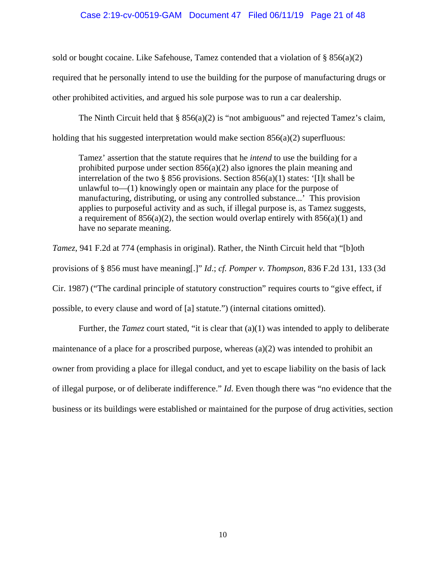#### Case 2:19-cv-00519-GAM Document 47 Filed 06/11/19 Page 21 of 48

sold or bought cocaine. Like Safehouse, Tamez contended that a violation of  $\S 856(a)(2)$ required that he personally intend to use the building for the purpose of manufacturing drugs or other prohibited activities, and argued his sole purpose was to run a car dealership.

The Ninth Circuit held that  $\S$  856(a)(2) is "not ambiguous" and rejected Tamez's claim, holding that his suggested interpretation would make section  $856(a)(2)$  superfluous:

Tamez' assertion that the statute requires that he *intend* to use the building for a prohibited purpose under section 856(a)(2) also ignores the plain meaning and interrelation of the two § 856 provisions. Section  $856(a)(1)$  states: '[I]t shall be unlawful to—(1) knowingly open or maintain any place for the purpose of manufacturing, distributing, or using any controlled substance...' This provision applies to purposeful activity and as such, if illegal purpose is, as Tamez suggests, a requirement of  $856(a)(2)$ , the section would overlap entirely with  $856(a)(1)$  and have no separate meaning.

*Tamez*, 941 F.2d at 774 (emphasis in original). Rather, the Ninth Circuit held that "[b]oth provisions of § 856 must have meaning[.]" *Id*.; *cf. Pomper v. Thompson*, 836 F.2d 131, 133 (3d Cir. 1987) ("The cardinal principle of statutory construction" requires courts to "give effect, if possible, to every clause and word of [a] statute.") (internal citations omitted).

Further, the *Tamez* court stated, "it is clear that (a)(1) was intended to apply to deliberate maintenance of a place for a proscribed purpose, whereas  $(a)(2)$  was intended to prohibit an owner from providing a place for illegal conduct, and yet to escape liability on the basis of lack of illegal purpose, or of deliberate indifference." *Id*. Even though there was "no evidence that the business or its buildings were established or maintained for the purpose of drug activities, section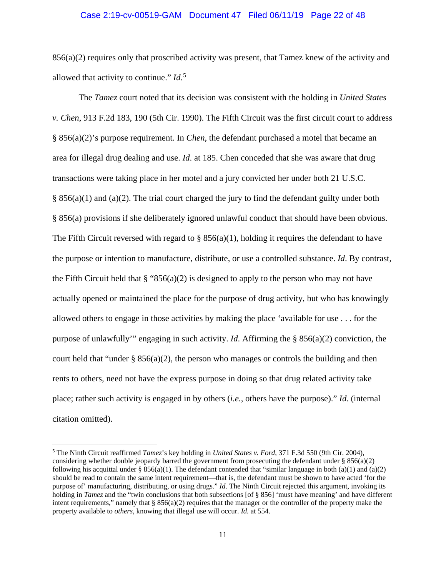#### Case 2:19-cv-00519-GAM Document 47 Filed 06/11/19 Page 22 of 48

 $856(a)(2)$  requires only that proscribed activity was present, that Tamez knew of the activity and allowed that activity to continue." *Id*. [5](#page-21-0)

The *Tamez* court noted that its decision was consistent with the holding in *United States v. Chen*, 913 F.2d 183, 190 (5th Cir. 1990). The Fifth Circuit was the first circuit court to address § 856(a)(2)'s purpose requirement. In *Chen*, the defendant purchased a motel that became an area for illegal drug dealing and use. *Id*. at 185. Chen conceded that she was aware that drug transactions were taking place in her motel and a jury convicted her under both 21 U.S.C.  $§ 856(a)(1)$  and (a)(2). The trial court charged the jury to find the defendant guilty under both § 856(a) provisions if she deliberately ignored unlawful conduct that should have been obvious. The Fifth Circuit reversed with regard to §  $856(a)(1)$ , holding it requires the defendant to have the purpose or intention to manufacture, distribute, or use a controlled substance. *Id*. By contrast, the Fifth Circuit held that  $\S$  "856(a)(2) is designed to apply to the person who may not have actually opened or maintained the place for the purpose of drug activity, but who has knowingly allowed others to engage in those activities by making the place 'available for use . . . for the purpose of unlawfully'" engaging in such activity. *Id*. Affirming the § 856(a)(2) conviction, the court held that "under  $\S 856(a)(2)$ , the person who manages or controls the building and then rents to others, need not have the express purpose in doing so that drug related activity take place; rather such activity is engaged in by others (*i.e.*, others have the purpose)." *Id*. (internal citation omitted).

<span id="page-21-0"></span> <sup>5</sup> The Ninth Circuit reaffirmed *Tamez*'s key holding in *United States v. Ford*, 371 F.3d 550 (9th Cir. 2004), considering whether double jeopardy barred the government from prosecuting the defendant under  $\S 856(a)(2)$ following his acquittal under § 856(a)(1). The defendant contended that "similar language in both (a)(1) and (a)(2) should be read to contain the same intent requirement—that is, the defendant must be shown to have acted 'for the purpose of' manufacturing, distributing, or using drugs." *Id*. The Ninth Circuit rejected this argument, invoking its holding in *Tamez* and the "twin conclusions that both subsections [of § 856] 'must have meaning' and have different intent requirements," namely that  $\S 856(a)(2)$  requires that the manager or the controller of the property make the property available to *others*, knowing that illegal use will occur. *Id.* at 554.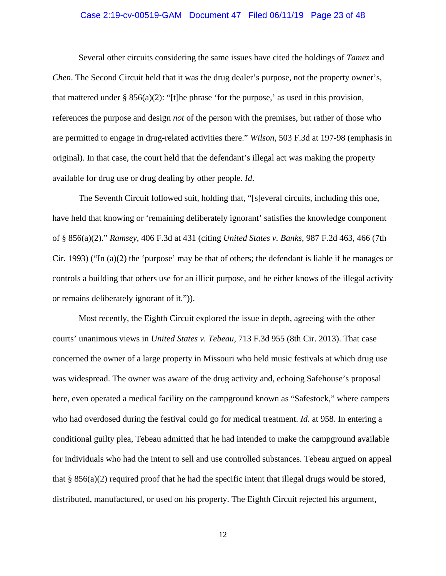#### Case 2:19-cv-00519-GAM Document 47 Filed 06/11/19 Page 23 of 48

Several other circuits considering the same issues have cited the holdings of *Tamez* and *Chen*. The Second Circuit held that it was the drug dealer's purpose, not the property owner's, that mattered under § 856(a)(2): "[t]he phrase 'for the purpose,' as used in this provision, references the purpose and design *not* of the person with the premises, but rather of those who are permitted to engage in drug-related activities there." *Wilson*, 503 F.3d at 197-98 (emphasis in original). In that case, the court held that the defendant's illegal act was making the property available for drug use or drug dealing by other people. *Id*.

The Seventh Circuit followed suit, holding that, "[s]everal circuits, including this one, have held that knowing or 'remaining deliberately ignorant' satisfies the knowledge component of § 856(a)(2)." *Ramsey*, 406 F.3d at 431 (citing *United States v. Banks*, 987 F.2d 463, 466 (7th Cir. 1993) ("In  $(a)(2)$  the 'purpose' may be that of others; the defendant is liable if he manages or controls a building that others use for an illicit purpose, and he either knows of the illegal activity or remains deliberately ignorant of it.")).

Most recently, the Eighth Circuit explored the issue in depth, agreeing with the other courts' unanimous views in *United States v. Tebeau*, 713 F.3d 955 (8th Cir. 2013). That case concerned the owner of a large property in Missouri who held music festivals at which drug use was widespread. The owner was aware of the drug activity and, echoing Safehouse's proposal here, even operated a medical facility on the campground known as "Safestock," where campers who had overdosed during the festival could go for medical treatment. *Id*. at 958. In entering a conditional guilty plea, Tebeau admitted that he had intended to make the campground available for individuals who had the intent to sell and use controlled substances. Tebeau argued on appeal that  $\S 856(a)(2)$  required proof that he had the specific intent that illegal drugs would be stored, distributed, manufactured, or used on his property. The Eighth Circuit rejected his argument,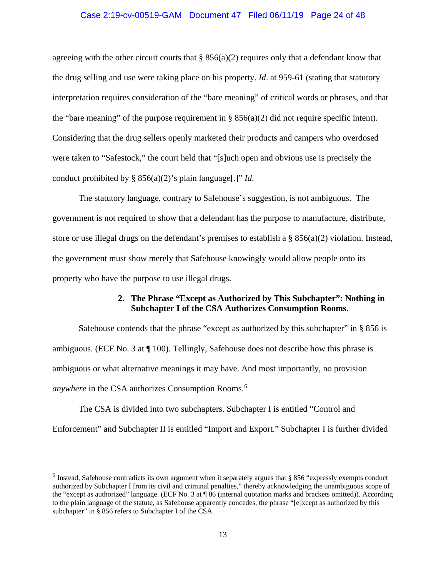#### Case 2:19-cv-00519-GAM Document 47 Filed 06/11/19 Page 24 of 48

agreeing with the other circuit courts that  $\S 856(a)(2)$  requires only that a defendant know that the drug selling and use were taking place on his property. *Id*. at 959-61 (stating that statutory interpretation requires consideration of the "bare meaning" of critical words or phrases, and that the "bare meaning" of the purpose requirement in  $\S 856(a)(2)$  did not require specific intent). Considering that the drug sellers openly marketed their products and campers who overdosed were taken to "Safestock," the court held that "[s]uch open and obvious use is precisely the conduct prohibited by § 856(a)(2)'s plain language[.]" *Id*.

The statutory language, contrary to Safehouse's suggestion, is not ambiguous. The government is not required to show that a defendant has the purpose to manufacture, distribute, store or use illegal drugs on the defendant's premises to establish a § 856(a)(2) violation. Instead, the government must show merely that Safehouse knowingly would allow people onto its property who have the purpose to use illegal drugs.

### **2. The Phrase "Except as Authorized by This Subchapter": Nothing in Subchapter I of the CSA Authorizes Consumption Rooms.**

Safehouse contends that the phrase "except as authorized by this subchapter" in § 856 is ambiguous. (ECF No. 3 at ¶ 100). Tellingly, Safehouse does not describe how this phrase is ambiguous or what alternative meanings it may have. And most importantly, no provision *anywhere* in the CSA authorizes Consumption Rooms.[6](#page-23-0)

The CSA is divided into two subchapters. Subchapter I is entitled "Control and Enforcement" and Subchapter II is entitled "Import and Export." Subchapter I is further divided

<span id="page-23-0"></span> $6$  Instead, Safehouse contradicts its own argument when it separately argues that § 856 "expressly exempts conduct authorized by Subchapter I from its civil and criminal penalties," thereby acknowledging the unambiguous scope of the "except as authorized" language. (ECF No. 3 at ¶ 86 (internal quotation marks and brackets omitted)). According to the plain language of the statute, as Safehouse apparently concedes, the phrase "[e]xcept as authorized by this subchapter" in § 856 refers to Subchapter I of the CSA.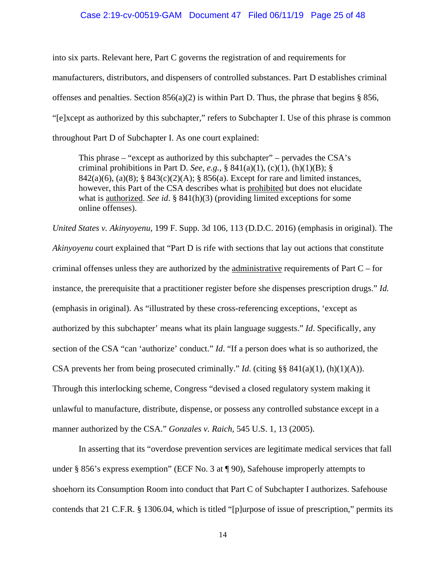#### Case 2:19-cv-00519-GAM Document 47 Filed 06/11/19 Page 25 of 48

into six parts. Relevant here, Part C governs the registration of and requirements for manufacturers, distributors, and dispensers of controlled substances. Part D establishes criminal offenses and penalties. Section  $856(a)(2)$  is within Part D. Thus, the phrase that begins § 856, "[e]xcept as authorized by this subchapter," refers to Subchapter I. Use of this phrase is common throughout Part D of Subchapter I. As one court explained:

This phrase – "except as authorized by this subchapter" – pervades the CSA's criminal prohibitions in Part D. *See*, *e.g.*, § 841(a)(1), (c)(1), (h)(1)(B); § 842(a)(6), (a)(8); § 843(c)(2)(A); § 856(a). Except for rare and limited instances, however, this Part of the CSA describes what is prohibited but does not elucidate what is authorized. *See id.* § 841(h)(3) (providing limited exceptions for some online offenses).

*United States v. Akinyoyenu*, 199 F. Supp. 3d 106, 113 (D.D.C. 2016) (emphasis in original). The *Akinyoyenu* court explained that "Part D is rife with sections that lay out actions that constitute criminal offenses unless they are authorized by the administrative requirements of Part  $C$  – for instance, the prerequisite that a practitioner register before she dispenses prescription drugs." *Id.* (emphasis in original). As "illustrated by these cross-referencing exceptions, 'except as authorized by this subchapter' means what its plain language suggests." *Id*. Specifically, any section of the CSA "can 'authorize' conduct." *Id*. "If a person does what is so authorized, the CSA prevents her from being prosecuted criminally." *Id*. (citing §§ 841(a)(1), (h)(1)(A)). Through this interlocking scheme, Congress "devised a closed regulatory system making it unlawful to manufacture, distribute, dispense, or possess any controlled substance except in a manner authorized by the CSA." *Gonzales v. Raich*, 545 U.S. 1, 13 (2005).

In asserting that its "overdose prevention services are legitimate medical services that fall under § 856's express exemption" (ECF No. 3 at ¶ 90), Safehouse improperly attempts to shoehorn its Consumption Room into conduct that Part C of Subchapter I authorizes. Safehouse contends that 21 C.F.R. § 1306.04, which is titled "[p]urpose of issue of prescription," permits its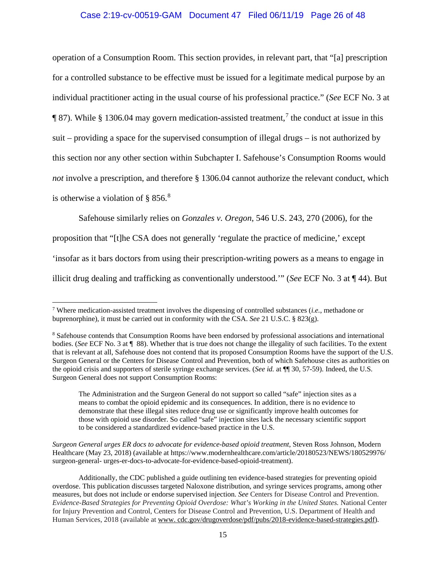## Case 2:19-cv-00519-GAM Document 47 Filed 06/11/19 Page 26 of 48

operation of a Consumption Room. This section provides, in relevant part, that "[a] prescription for a controlled substance to be effective must be issued for a legitimate medical purpose by an individual practitioner acting in the usual course of his professional practice." (*See* ECF No. 3 at  $\P$  8[7](#page-25-0)). While § 1306.04 may govern medication-assisted treatment,<sup>7</sup> the conduct at issue in this suit – providing a space for the supervised consumption of illegal drugs – is not authorized by this section nor any other section within Subchapter I. Safehouse's Consumption Rooms would *not* involve a prescription, and therefore § 1306.04 cannot authorize the relevant conduct, which is otherwise a violation of  $\S 856$  $\S 856$  $\S 856$ .<sup>8</sup>

Safehouse similarly relies on *Gonzales v. Oregon*, 546 U.S. 243, 270 (2006), for the proposition that "[t]he CSA does not generally 'regulate the practice of medicine,' except 'insofar as it bars doctors from using their prescription-writing powers as a means to engage in illicit drug dealing and trafficking as conventionally understood.'" (*See* ECF No. 3 at ¶ 44). But

*Surgeon General urges ER docs to advocate for evidence-based opioid treatment*, Steven Ross Johnson, Modern Healthcare (May 23, 2018) (available at https://www.modernhealthcare.com/article/20180523/NEWS/180529976/ surgeon-general- urges-er-docs-to-advocate-for-evidence-based-opioid-treatment).

<span id="page-25-0"></span> <sup>7</sup> Where medication-assisted treatment involves the dispensing of controlled substances (*i.e.*, methadone or buprenorphine), it must be carried out in conformity with the CSA. *See* 21 U.S.C. § 823(g).

<span id="page-25-1"></span><sup>8</sup> Safehouse contends that Consumption Rooms have been endorsed by professional associations and international bodies. (*See* ECF No. 3 at ¶ 88). Whether that is true does not change the illegality of such facilities. To the extent that is relevant at all, Safehouse does not contend that its proposed Consumption Rooms have the support of the U.S. Surgeon General or the Centers for Disease Control and Prevention, both of which Safehouse cites as authorities on the opioid crisis and supporters of sterile syringe exchange services. (*See id.* at ¶¶ 30, 57-59). Indeed, the U.S. Surgeon General does not support Consumption Rooms:

The Administration and the Surgeon General do not support so called "safe" injection sites as a means to combat the opioid epidemic and its consequences. In addition, there is no evidence to demonstrate that these illegal sites reduce drug use or significantly improve health outcomes for those with opioid use disorder. So called "safe" injection sites lack the necessary scientific support to be considered a standardized evidence-based practice in the U.S.

Additionally, the CDC published a guide outlining ten evidence-based strategies for preventing opioid overdose. This publication discusses targeted Naloxone distribution, and syringe services programs, among other measures, but does not include or endorse supervised injection. *See* Centers for Disease Control and Prevention. *Evidence-Based Strategies for Preventing Opioid Overdose: What's Working in the United States.* National Center for Injury Prevention and Control, Centers for Disease Control and Prevention, U.S. Department of Health and Human Services, 2018 (available at www. cdc.gov/drugoverdose/pdf/pubs/2018-evidence-based-strategies.pdf).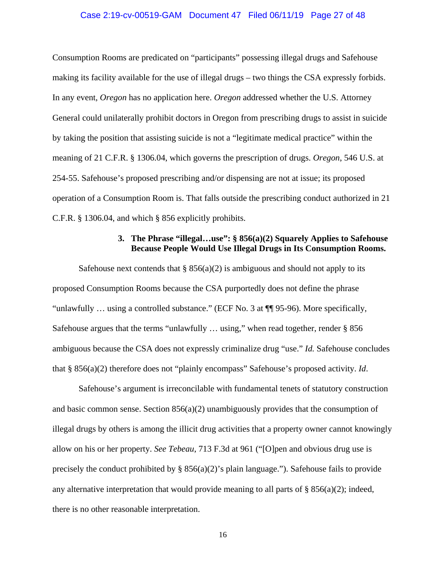#### Case 2:19-cv-00519-GAM Document 47 Filed 06/11/19 Page 27 of 48

Consumption Rooms are predicated on "participants" possessing illegal drugs and Safehouse making its facility available for the use of illegal drugs – two things the CSA expressly forbids. In any event, *Oregon* has no application here. *Oregon* addressed whether the U.S. Attorney General could unilaterally prohibit doctors in Oregon from prescribing drugs to assist in suicide by taking the position that assisting suicide is not a "legitimate medical practice" within the meaning of 21 C.F.R. § 1306.04, which governs the prescription of drugs. *Oregon*, 546 U.S. at 254-55. Safehouse's proposed prescribing and/or dispensing are not at issue; its proposed operation of a Consumption Room is. That falls outside the prescribing conduct authorized in 21 C.F.R. § 1306.04, and which § 856 explicitly prohibits.

### **3. The Phrase "illegal…use": § 856(a)(2) Squarely Applies to Safehouse Because People Would Use Illegal Drugs in Its Consumption Rooms.**

Safehouse next contends that  $\S$  856(a)(2) is ambiguous and should not apply to its proposed Consumption Rooms because the CSA purportedly does not define the phrase "unlawfully … using a controlled substance." (ECF No. 3 at ¶¶ 95-96). More specifically, Safehouse argues that the terms "unlawfully … using," when read together, render § 856 ambiguous because the CSA does not expressly criminalize drug "use." *Id.* Safehouse concludes that § 856(a)(2) therefore does not "plainly encompass" Safehouse's proposed activity. *Id*.

Safehouse's argument is irreconcilable with fundamental tenets of statutory construction and basic common sense. Section  $856(a)(2)$  unambiguously provides that the consumption of illegal drugs by others is among the illicit drug activities that a property owner cannot knowingly allow on his or her property. *See Tebeau*, 713 F.3d at 961 ("[O]pen and obvious drug use is precisely the conduct prohibited by  $\S$  856(a)(2)'s plain language."). Safehouse fails to provide any alternative interpretation that would provide meaning to all parts of  $\S 856(a)(2)$ ; indeed, there is no other reasonable interpretation.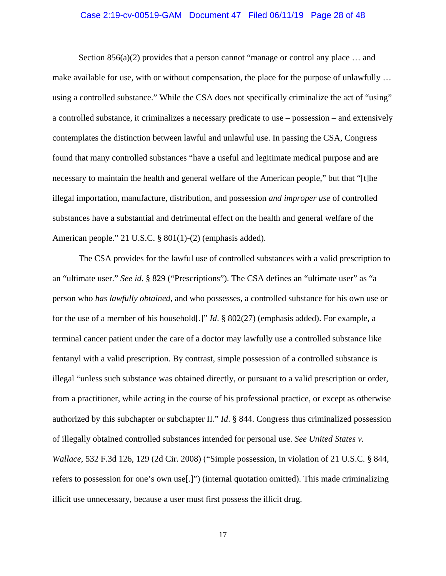# Case 2:19-cv-00519-GAM Document 47 Filed 06/11/19 Page 28 of 48

Section  $856(a)(2)$  provides that a person cannot "manage or control any place ... and make available for use, with or without compensation, the place for the purpose of unlawfully … using a controlled substance." While the CSA does not specifically criminalize the act of "using" a controlled substance, it criminalizes a necessary predicate to use – possession – and extensively contemplates the distinction between lawful and unlawful use. In passing the CSA, Congress found that many controlled substances "have a useful and legitimate medical purpose and are necessary to maintain the health and general welfare of the American people," but that "[t]he illegal importation, manufacture, distribution, and possession *and improper use* of controlled substances have a substantial and detrimental effect on the health and general welfare of the American people." 21 U.S.C. § 801(1)-(2) (emphasis added).

The CSA provides for the lawful use of controlled substances with a valid prescription to an "ultimate user." *See id*. § 829 ("Prescriptions"). The CSA defines an "ultimate user" as "a person who *has lawfully obtained*, and who possesses, a controlled substance for his own use or for the use of a member of his household[.]" *Id*. § 802(27) (emphasis added). For example, a terminal cancer patient under the care of a doctor may lawfully use a controlled substance like fentanyl with a valid prescription. By contrast, simple possession of a controlled substance is illegal "unless such substance was obtained directly, or pursuant to a valid prescription or order, from a practitioner, while acting in the course of his professional practice, or except as otherwise authorized by this subchapter or subchapter II." *Id*. § 844. Congress thus criminalized possession of illegally obtained controlled substances intended for personal use. *See United States v. Wallace*, 532 F.3d 126, 129 (2d Cir. 2008) ("Simple possession, in violation of 21 U.S.C. § 844, refers to possession for one's own use[.]") (internal quotation omitted). This made criminalizing illicit use unnecessary, because a user must first possess the illicit drug.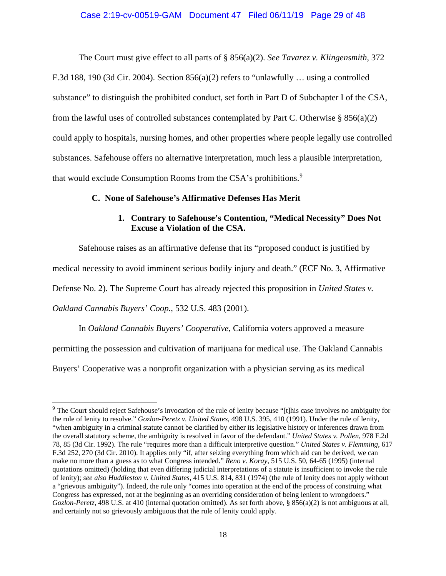## Case 2:19-cv-00519-GAM Document 47 Filed 06/11/19 Page 29 of 48

The Court must give effect to all parts of § 856(a)(2). *See Tavarez v. Klingensmith*, 372 F.3d 188, 190 (3d Cir. 2004). Section  $856(a)(2)$  refers to "unlawfully ... using a controlled substance" to distinguish the prohibited conduct, set forth in Part D of Subchapter I of the CSA, from the lawful uses of controlled substances contemplated by Part C. Otherwise  $\S 856(a)(2)$ could apply to hospitals, nursing homes, and other properties where people legally use controlled substances. Safehouse offers no alternative interpretation, much less a plausible interpretation, that would exclude Consumption Rooms from the CSA's prohibitions.<sup>[9](#page-28-0)</sup>

#### **C. None of Safehouse's Affirmative Defenses Has Merit**

# **1. Contrary to Safehouse's Contention, "Medical Necessity" Does Not Excuse a Violation of the CSA.**

Safehouse raises as an affirmative defense that its "proposed conduct is justified by

medical necessity to avoid imminent serious bodily injury and death." (ECF No. 3, Affirmative

Defense No. 2). The Supreme Court has already rejected this proposition in *United States v.* 

*Oakland Cannabis Buyers' Coop.*, 532 U.S. 483 (2001).

In *Oakland Cannabis Buyers' Cooperative*, California voters approved a measure

permitting the possession and cultivation of marijuana for medical use. The Oakland Cannabis

Buyers' Cooperative was a nonprofit organization with a physician serving as its medical

<span id="page-28-0"></span> <sup>9</sup> The Court should reject Safehouse's invocation of the rule of lenity because "[t]his case involves no ambiguity for the rule of lenity to resolve." *Gozlon-Peretz v. United States*, 498 U.S. 395, 410 (1991). Under the rule of lenity, "when ambiguity in a criminal statute cannot be clarified by either its legislative history or inferences drawn from the overall statutory scheme, the ambiguity is resolved in favor of the defendant." *United States v. Pollen*, 978 F.2d 78, 85 (3d Cir. 1992). The rule "requires more than a difficult interpretive question." *United States v. Flemming*, 617 F.3d 252, 270 (3d Cir. 2010). It applies only "if, after seizing everything from which aid can be derived, we can make no more than a guess as to what Congress intended." *Reno v. Koray*, 515 U.S. 50, 64-65 (1995) (internal quotations omitted) (holding that even differing judicial interpretations of a statute is insufficient to invoke the rule of lenity); *see also Huddleston v. United States,* 415 U.S. 814, 831 (1974) (the rule of lenity does not apply without a "grievous ambiguity"). Indeed, the rule only "comes into operation at the end of the process of construing what Congress has expressed, not at the beginning as an overriding consideration of being lenient to wrongdoers." *Gozlon-Peretz,* 498 U.S. at 410 (internal quotation omitted). As set forth above, § 856(a)(2) is not ambiguous at all, and certainly not so grievously ambiguous that the rule of lenity could apply.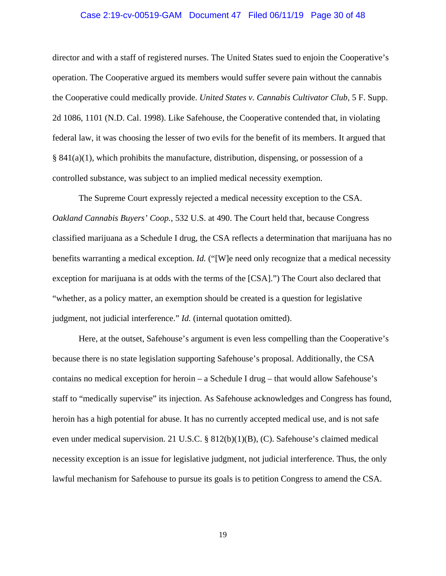#### Case 2:19-cv-00519-GAM Document 47 Filed 06/11/19 Page 30 of 48

director and with a staff of registered nurses. The United States sued to enjoin the Cooperative's operation. The Cooperative argued its members would suffer severe pain without the cannabis the Cooperative could medically provide. *United States v. Cannabis Cultivator Club*, 5 F. Supp. 2d 1086, 1101 (N.D. Cal. 1998). Like Safehouse, the Cooperative contended that, in violating federal law, it was choosing the lesser of two evils for the benefit of its members. It argued that  $\S$  841(a)(1), which prohibits the manufacture, distribution, dispensing, or possession of a controlled substance, was subject to an implied medical necessity exemption.

The Supreme Court expressly rejected a medical necessity exception to the CSA. *Oakland Cannabis Buyers' Coop.*, 532 U.S. at 490. The Court held that, because Congress classified marijuana as a Schedule I drug, the CSA reflects a determination that marijuana has no benefits warranting a medical exception. *Id.* ("[W]e need only recognize that a medical necessity exception for marijuana is at odds with the terms of the [CSA].") The Court also declared that "whether, as a policy matter, an exemption should be created is a question for legislative judgment, not judicial interference." *Id.* (internal quotation omitted).

Here, at the outset, Safehouse's argument is even less compelling than the Cooperative's because there is no state legislation supporting Safehouse's proposal. Additionally, the CSA contains no medical exception for heroin – a Schedule I drug – that would allow Safehouse's staff to "medically supervise" its injection. As Safehouse acknowledges and Congress has found, heroin has a high potential for abuse. It has no currently accepted medical use, and is not safe even under medical supervision. 21 U.S.C. § 812(b)(1)(B), (C). Safehouse's claimed medical necessity exception is an issue for legislative judgment, not judicial interference. Thus, the only lawful mechanism for Safehouse to pursue its goals is to petition Congress to amend the CSA.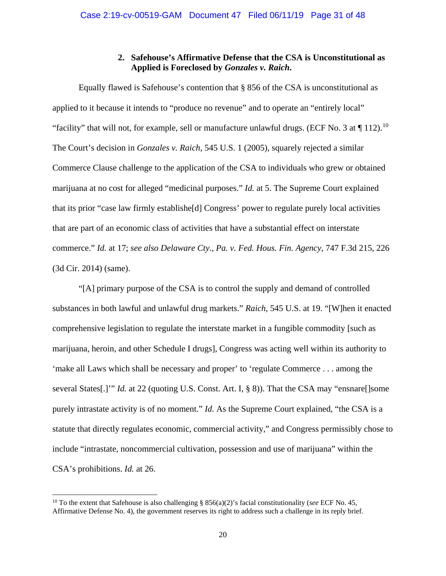### **2. Safehouse's Affirmative Defense that the CSA is Unconstitutional as Applied is Foreclosed by** *Gonzales v. Raich***.**

Equally flawed is Safehouse's contention that § 856 of the CSA is unconstitutional as applied to it because it intends to "produce no revenue" and to operate an "entirely local" "facility" that will not, for example, sell or manufacture unlawful drugs. (ECF No. 3 at  $\P$  112).<sup>[10](#page-30-0)</sup> The Court's decision in *Gonzales v. Raich*, 545 U.S. 1 (2005), squarely rejected a similar Commerce Clause challenge to the application of the CSA to individuals who grew or obtained marijuana at no cost for alleged "medicinal purposes." *Id.* at 5. The Supreme Court explained that its prior "case law firmly establishe[d] Congress' power to regulate purely local activities that are part of an economic class of activities that have a substantial effect on interstate commerce." *Id.* at 17; *see also Delaware Cty., Pa. v. Fed. Hous. Fin. Agency*, 747 F.3d 215, 226 (3d Cir. 2014) (same).

"[A] primary purpose of the CSA is to control the supply and demand of controlled substances in both lawful and unlawful drug markets." *Raich*, 545 U.S. at 19. "[W]hen it enacted comprehensive legislation to regulate the interstate market in a fungible commodity [such as marijuana, heroin, and other Schedule I drugs], Congress was acting well within its authority to 'make all Laws which shall be necessary and proper' to 'regulate Commerce . . . among the several States[.]'" *Id.* at 22 (quoting U.S. Const. Art. I, § 8)). That the CSA may "ensnare[]some purely intrastate activity is of no moment." *Id.* As the Supreme Court explained, "the CSA is a statute that directly regulates economic, commercial activity," and Congress permissibly chose to include "intrastate, noncommercial cultivation, possession and use of marijuana" within the CSA's prohibitions. *Id.* at 26.

<span id="page-30-0"></span><sup>&</sup>lt;sup>10</sup> To the extent that Safehouse is also challenging § 856(a)(2)'s facial constitutionality (*see* ECF No. 45, Affirmative Defense No. 4), the government reserves its right to address such a challenge in its reply brief.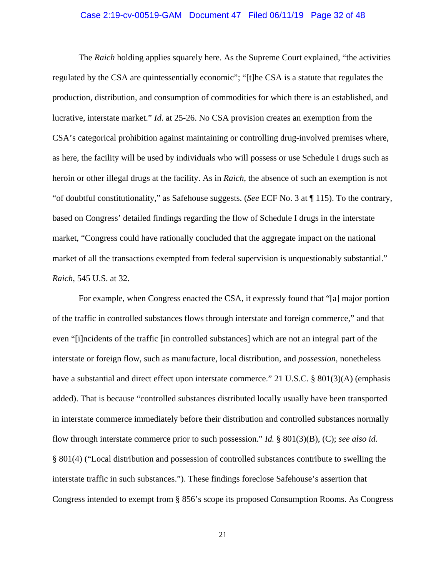#### Case 2:19-cv-00519-GAM Document 47 Filed 06/11/19 Page 32 of 48

The *Raich* holding applies squarely here. As the Supreme Court explained, "the activities regulated by the CSA are quintessentially economic"; "[t]he CSA is a statute that regulates the production, distribution, and consumption of commodities for which there is an established, and lucrative, interstate market." *Id*. at 25-26. No CSA provision creates an exemption from the CSA's categorical prohibition against maintaining or controlling drug-involved premises where, as here, the facility will be used by individuals who will possess or use Schedule I drugs such as heroin or other illegal drugs at the facility. As in *Raich*, the absence of such an exemption is not "of doubtful constitutionality," as Safehouse suggests. (*See* ECF No. 3 at ¶ 115). To the contrary, based on Congress' detailed findings regarding the flow of Schedule I drugs in the interstate market, "Congress could have rationally concluded that the aggregate impact on the national market of all the transactions exempted from federal supervision is unquestionably substantial." *Raich*, 545 U.S. at 32.

For example, when Congress enacted the CSA, it expressly found that "[a] major portion of the traffic in controlled substances flows through interstate and foreign commerce," and that even "[i]ncidents of the traffic [in controlled substances] which are not an integral part of the interstate or foreign flow, such as manufacture, local distribution, and *possession*, nonetheless have a substantial and direct effect upon interstate commerce." 21 U.S.C. § 801(3)(A) (emphasis added). That is because "controlled substances distributed locally usually have been transported in interstate commerce immediately before their distribution and controlled substances normally flow through interstate commerce prior to such possession." *Id.* § 801(3)(B), (C); *see also id.*  § 801(4) ("Local distribution and possession of controlled substances contribute to swelling the interstate traffic in such substances."). These findings foreclose Safehouse's assertion that Congress intended to exempt from § 856's scope its proposed Consumption Rooms. As Congress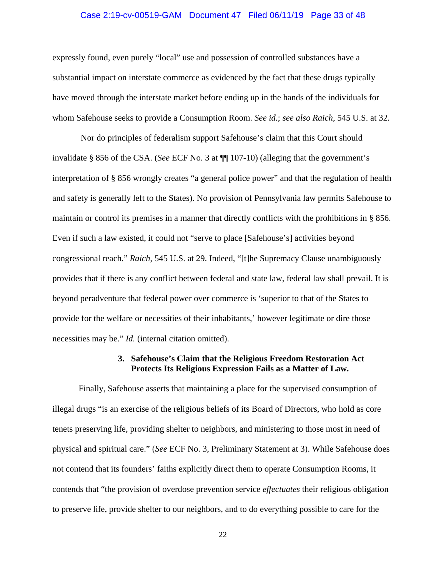#### Case 2:19-cv-00519-GAM Document 47 Filed 06/11/19 Page 33 of 48

expressly found, even purely "local" use and possession of controlled substances have a substantial impact on interstate commerce as evidenced by the fact that these drugs typically have moved through the interstate market before ending up in the hands of the individuals for whom Safehouse seeks to provide a Consumption Room. *See id.*; *see also Raich*, 545 U.S. at 32.

Nor do principles of federalism support Safehouse's claim that this Court should invalidate § 856 of the CSA. (*See* ECF No. 3 at ¶¶ 107-10) (alleging that the government's interpretation of § 856 wrongly creates "a general police power" and that the regulation of health and safety is generally left to the States). No provision of Pennsylvania law permits Safehouse to maintain or control its premises in a manner that directly conflicts with the prohibitions in § 856. Even if such a law existed, it could not "serve to place [Safehouse's] activities beyond congressional reach." *Raich*, 545 U.S. at 29. Indeed, "[t]he Supremacy Clause unambiguously provides that if there is any conflict between federal and state law, federal law shall prevail. It is beyond peradventure that federal power over commerce is 'superior to that of the States to provide for the welfare or necessities of their inhabitants,' however legitimate or dire those necessities may be." *Id.* (internal citation omitted).

#### **3. Safehouse's Claim that the Religious Freedom Restoration Act Protects Its Religious Expression Fails as a Matter of Law.**

Finally, Safehouse asserts that maintaining a place for the supervised consumption of illegal drugs "is an exercise of the religious beliefs of its Board of Directors, who hold as core tenets preserving life, providing shelter to neighbors, and ministering to those most in need of physical and spiritual care." (*See* ECF No. 3, Preliminary Statement at 3). While Safehouse does not contend that its founders' faiths explicitly direct them to operate Consumption Rooms, it contends that "the provision of overdose prevention service *effectuates* their religious obligation to preserve life, provide shelter to our neighbors, and to do everything possible to care for the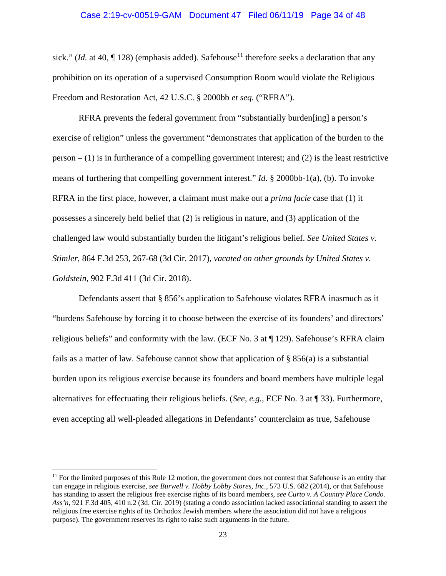#### Case 2:19-cv-00519-GAM Document 47 Filed 06/11/19 Page 34 of 48

sick." (*Id.* at 40,  $\P$  128) (emphasis added). Safehouse<sup>[11](#page-33-0)</sup> therefore seeks a declaration that any prohibition on its operation of a supervised Consumption Room would violate the Religious Freedom and Restoration Act, 42 U.S.C. § 2000bb *et seq.* ("RFRA")*.*

RFRA prevents the federal government from "substantially burden[ing] a person's exercise of religion" unless the government "demonstrates that application of the burden to the person  $- (1)$  is in furtherance of a compelling government interest; and  $(2)$  is the least restrictive means of furthering that compelling government interest." *Id.* § 2000bb-1(a), (b). To invoke RFRA in the first place, however, a claimant must make out a *prima facie* case that (1) it possesses a sincerely held belief that (2) is religious in nature, and (3) application of the challenged law would substantially burden the litigant's religious belief. *See United States v. Stimler*, 864 F.3d 253, 267-68 (3d Cir. 2017), *vacated on other grounds by United States v. Goldstein*, 902 F.3d 411 (3d Cir. 2018).

Defendants assert that § 856's application to Safehouse violates RFRA inasmuch as it "burdens Safehouse by forcing it to choose between the exercise of its founders' and directors' religious beliefs" and conformity with the law. (ECF No. 3 at ¶ 129). Safehouse's RFRA claim fails as a matter of law. Safehouse cannot show that application of § 856(a) is a substantial burden upon its religious exercise because its founders and board members have multiple legal alternatives for effectuating their religious beliefs. (*See, e.g.*, ECF No. 3 at ¶ 33). Furthermore, even accepting all well-pleaded allegations in Defendants' counterclaim as true, Safehouse

<span id="page-33-0"></span> $11$  For the limited purposes of this Rule 12 motion, the government does not contest that Safehouse is an entity that can engage in religious exercise, *see Burwell v. Hobby Lobby Stores, Inc.*, 573 U.S. 682 (2014), or that Safehouse has standing to assert the religious free exercise rights of its board members, *see Curto v. A Country Place Condo. Ass'n*, 921 F.3d 405, 410 n.2 (3d. Cir. 2019) (stating a condo association lacked associational standing to assert the religious free exercise rights of its Orthodox Jewish members where the association did not have a religious purpose). The government reserves its right to raise such arguments in the future.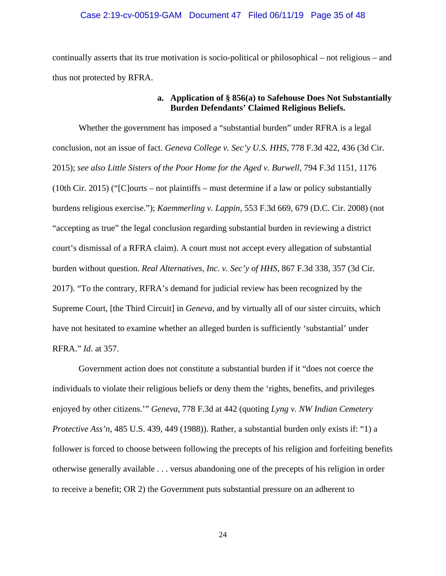#### Case 2:19-cv-00519-GAM Document 47 Filed 06/11/19 Page 35 of 48

continually asserts that its true motivation is socio-political or philosophical – not religious – and thus not protected by RFRA.

### **a. Application of § 856(a) to Safehouse Does Not Substantially Burden Defendants' Claimed Religious Beliefs.**

Whether the government has imposed a "substantial burden" under RFRA is a legal conclusion, not an issue of fact. *Geneva College v. Sec'y U.S. HHS*, 778 F.3d 422, 436 (3d Cir. 2015); *see also Little Sisters of the Poor Home for the Aged v. Burwell*, 794 F.3d 1151, 1176 (10th Cir. 2015) ("[C]ourts – not plaintiffs – must determine if a law or policy substantially burdens religious exercise."); *Kaemmerling v. Lappin*, 553 F.3d 669, 679 (D.C. Cir. 2008) (not "accepting as true" the legal conclusion regarding substantial burden in reviewing a district court's dismissal of a RFRA claim). A court must not accept every allegation of substantial burden without question. *Real Alternatives, Inc. v. Sec'y of HHS*, 867 F.3d 338, 357 (3d Cir. 2017). "To the contrary, RFRA's demand for judicial review has been recognized by the Supreme Court, [the Third Circuit] in *Geneva*, and by virtually all of our sister circuits, which have not hesitated to examine whether an alleged burden is sufficiently 'substantial' under RFRA." *Id*. at 357.

Government action does not constitute a substantial burden if it "does not coerce the individuals to violate their religious beliefs or deny them the 'rights, benefits, and privileges enjoyed by other citizens.'" *Geneva*, 778 F.3d at 442 (quoting *Lyng v. NW Indian Cemetery Protective Ass'n*, 485 U.S. 439, 449 (1988)). Rather, a substantial burden only exists if: "1) a follower is forced to choose between following the precepts of his religion and forfeiting benefits otherwise generally available . . . versus abandoning one of the precepts of his religion in order to receive a benefit; OR 2) the Government puts substantial pressure on an adherent to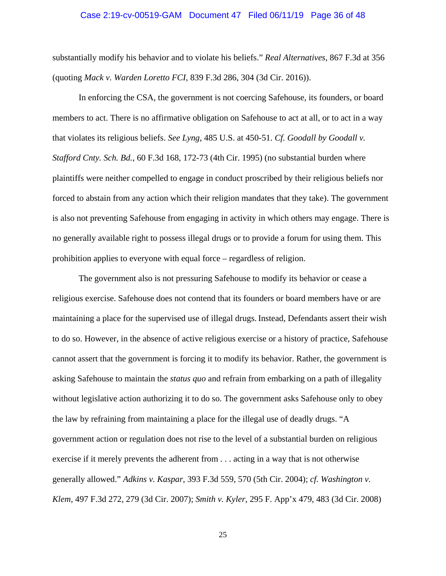#### Case 2:19-cv-00519-GAM Document 47 Filed 06/11/19 Page 36 of 48

substantially modify his behavior and to violate his beliefs." *Real Alternatives*, 867 F.3d at 356 (quoting *Mack v. Warden Loretto FCI*, 839 F.3d 286, 304 (3d Cir. 2016)).

In enforcing the CSA, the government is not coercing Safehouse, its founders, or board members to act. There is no affirmative obligation on Safehouse to act at all, or to act in a way that violates its religious beliefs. *See Lyng*, 485 U.S. at 450-51. *Cf. Goodall by Goodall v. Stafford Cnty. Sch. Bd.*, 60 F.3d 168, 172-73 (4th Cir. 1995) (no substantial burden where plaintiffs were neither compelled to engage in conduct proscribed by their religious beliefs nor forced to abstain from any action which their religion mandates that they take). The government is also not preventing Safehouse from engaging in activity in which others may engage. There is no generally available right to possess illegal drugs or to provide a forum for using them. This prohibition applies to everyone with equal force – regardless of religion.

The government also is not pressuring Safehouse to modify its behavior or cease a religious exercise. Safehouse does not contend that its founders or board members have or are maintaining a place for the supervised use of illegal drugs.Instead, Defendants assert their wish to do so. However, in the absence of active religious exercise or a history of practice, Safehouse cannot assert that the government is forcing it to modify its behavior. Rather, the government is asking Safehouse to maintain the *status quo* and refrain from embarking on a path of illegality without legislative action authorizing it to do so. The government asks Safehouse only to obey the law by refraining from maintaining a place for the illegal use of deadly drugs. "A government action or regulation does not rise to the level of a substantial burden on religious exercise if it merely prevents the adherent from . . . acting in a way that is not otherwise generally allowed." *Adkins v. Kaspar*, 393 F.3d 559, 570 (5th Cir. 2004); *cf. Washington v. Klem*, 497 F.3d 272, 279 (3d Cir. 2007); *Smith v. Kyler*, 295 F. App'x 479, 483 (3d Cir. 2008)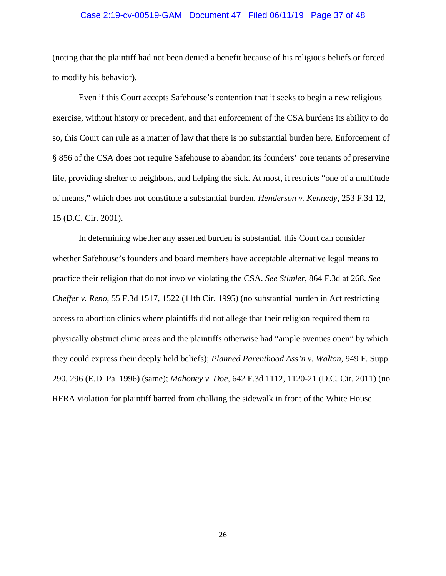#### Case 2:19-cv-00519-GAM Document 47 Filed 06/11/19 Page 37 of 48

(noting that the plaintiff had not been denied a benefit because of his religious beliefs or forced to modify his behavior).

Even if this Court accepts Safehouse's contention that it seeks to begin a new religious exercise, without history or precedent, and that enforcement of the CSA burdens its ability to do so, this Court can rule as a matter of law that there is no substantial burden here. Enforcement of § 856 of the CSA does not require Safehouse to abandon its founders' core tenants of preserving life, providing shelter to neighbors, and helping the sick. At most, it restricts "one of a multitude of means," which does not constitute a substantial burden. *Henderson v. Kennedy*, 253 F.3d 12, 15 (D.C. Cir. 2001).

In determining whether any asserted burden is substantial, this Court can consider whether Safehouse's founders and board members have acceptable alternative legal means to practice their religion that do not involve violating the CSA. *See Stimler*, 864 F.3d at 268. *See Cheffer v. Reno*, 55 F.3d 1517, 1522 (11th Cir. 1995) (no substantial burden in Act restricting access to abortion clinics where plaintiffs did not allege that their religion required them to physically obstruct clinic areas and the plaintiffs otherwise had "ample avenues open" by which they could express their deeply held beliefs); *Planned Parenthood Ass'n v. Walton*, 949 F. Supp. 290, 296 (E.D. Pa. 1996) (same); *Mahoney v. Doe*, 642 F.3d 1112, 1120-21 (D.C. Cir. 2011) (no RFRA violation for plaintiff barred from chalking the sidewalk in front of the White House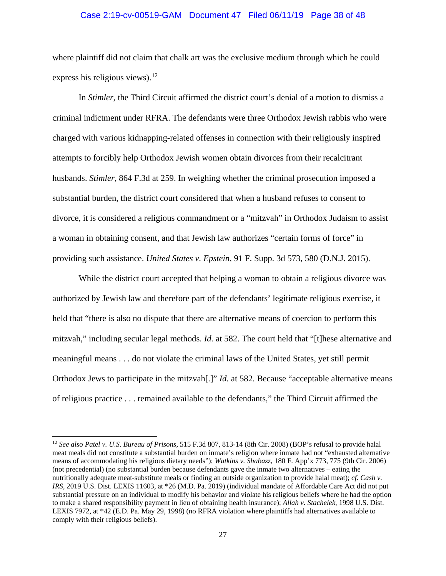#### Case 2:19-cv-00519-GAM Document 47 Filed 06/11/19 Page 38 of 48

where plaintiff did not claim that chalk art was the exclusive medium through which he could express his religious views).<sup>[12](#page-37-0)</sup>

In *Stimler*, the Third Circuit affirmed the district court's denial of a motion to dismiss a criminal indictment under RFRA. The defendants were three Orthodox Jewish rabbis who were charged with various kidnapping-related offenses in connection with their religiously inspired attempts to forcibly help Orthodox Jewish women obtain divorces from their recalcitrant husbands. *Stimler*, 864 F.3d at 259. In weighing whether the criminal prosecution imposed a substantial burden, the district court considered that when a husband refuses to consent to divorce, it is considered a religious commandment or a "mitzvah" in Orthodox Judaism to assist a woman in obtaining consent, and that Jewish law authorizes "certain forms of force" in providing such assistance. *United States v. Epstein*, 91 F. Supp. 3d 573, 580 (D.N.J. 2015).

While the district court accepted that helping a woman to obtain a religious divorce was authorized by Jewish law and therefore part of the defendants' legitimate religious exercise, it held that "there is also no dispute that there are alternative means of coercion to perform this mitzvah," including secular legal methods. *Id.* at 582. The court held that "[t]hese alternative and meaningful means . . . do not violate the criminal laws of the United States, yet still permit Orthodox Jews to participate in the mitzvah[.]" *Id.* at 582. Because "acceptable alternative means of religious practice . . . remained available to the defendants," the Third Circuit affirmed the

<span id="page-37-0"></span> <sup>12</sup> *See also Patel v. U.S. Bureau of Prisons*, 515 F.3d 807, 813-14 (8th Cir. 2008) (BOP's refusal to provide halal meat meals did not constitute a substantial burden on inmate's religion where inmate had not "exhausted alternative means of accommodating his religious dietary needs"); *Watkins v. Shabazz*, 180 F. App'x 773, 775 (9th Cir. 2006) (not precedential) (no substantial burden because defendants gave the inmate two alternatives – eating the nutritionally adequate meat-substitute meals or finding an outside organization to provide halal meat); *cf. Cash v. IRS*, 2019 U.S. Dist. LEXIS 11603, at \*26 (M.D. Pa. 2019) (individual mandate of Affordable Care Act did not put substantial pressure on an individual to modify his behavior and violate his religious beliefs where he had the option to make a shared responsibility payment in lieu of obtaining health insurance); *Allah v. Stachelek*, 1998 U.S. Dist. LEXIS 7972, at \*42 (E.D. Pa. May 29, 1998) (no RFRA violation where plaintiffs had alternatives available to comply with their religious beliefs).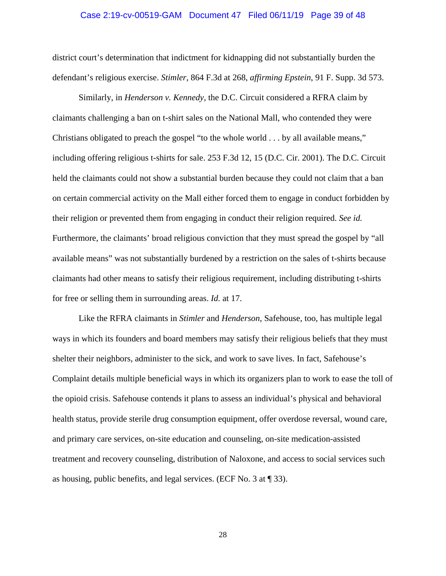#### Case 2:19-cv-00519-GAM Document 47 Filed 06/11/19 Page 39 of 48

district court's determination that indictment for kidnapping did not substantially burden the defendant's religious exercise. *Stimler*, 864 F.3d at 268, *affirming Epstein*, 91 F. Supp. 3d 573.

Similarly, in *Henderson v. Kennedy*, the D.C. Circuit considered a RFRA claim by claimants challenging a ban on t-shirt sales on the National Mall, who contended they were Christians obligated to preach the gospel "to the whole world . . . by all available means," including offering religious t-shirts for sale. 253 F.3d 12, 15 (D.C. Cir. 2001). The D.C. Circuit held the claimants could not show a substantial burden because they could not claim that a ban on certain commercial activity on the Mall either forced them to engage in conduct forbidden by their religion or prevented them from engaging in conduct their religion required. *See id.*  Furthermore, the claimants' broad religious conviction that they must spread the gospel by "all available means" was not substantially burdened by a restriction on the sales of t-shirts because claimants had other means to satisfy their religious requirement, including distributing t-shirts for free or selling them in surrounding areas. *Id.* at 17.

Like the RFRA claimants in *Stimler* and *Henderson*, Safehouse, too, has multiple legal ways in which its founders and board members may satisfy their religious beliefs that they must shelter their neighbors, administer to the sick, and work to save lives. In fact, Safehouse's Complaint details multiple beneficial ways in which its organizers plan to work to ease the toll of the opioid crisis. Safehouse contends it plans to assess an individual's physical and behavioral health status, provide sterile drug consumption equipment, offer overdose reversal, wound care, and primary care services, on-site education and counseling, on-site medication-assisted treatment and recovery counseling, distribution of Naloxone, and access to social services such as housing, public benefits, and legal services. (ECF No. 3 at ¶ 33).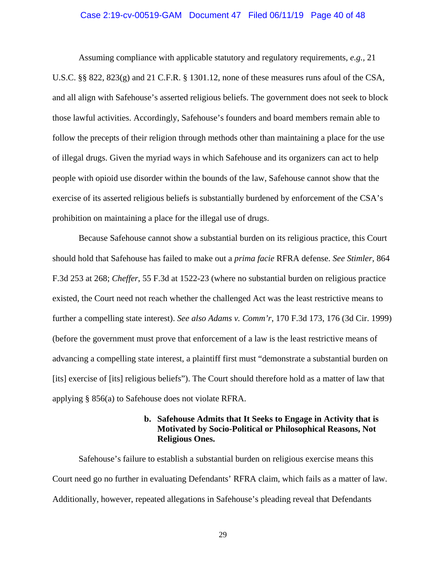#### Case 2:19-cv-00519-GAM Document 47 Filed 06/11/19 Page 40 of 48

Assuming compliance with applicable statutory and regulatory requirements, *e.g.,* 21 U.S.C. §§ 822, 823(g) and 21 C.F.R. § 1301.12, none of these measures runs afoul of the CSA, and all align with Safehouse's asserted religious beliefs. The government does not seek to block those lawful activities. Accordingly, Safehouse's founders and board members remain able to follow the precepts of their religion through methods other than maintaining a place for the use of illegal drugs. Given the myriad ways in which Safehouse and its organizers can act to help people with opioid use disorder within the bounds of the law, Safehouse cannot show that the exercise of its asserted religious beliefs is substantially burdened by enforcement of the CSA's prohibition on maintaining a place for the illegal use of drugs.

Because Safehouse cannot show a substantial burden on its religious practice, this Court should hold that Safehouse has failed to make out a *prima facie* RFRA defense. *See Stimler*, 864 F.3d 253 at 268; *Cheffer*, 55 F.3d at 1522-23 (where no substantial burden on religious practice existed, the Court need not reach whether the challenged Act was the least restrictive means to further a compelling state interest). *See also Adams v. Comm'r*, 170 F.3d 173, 176 (3d Cir. 1999) (before the government must prove that enforcement of a law is the least restrictive means of advancing a compelling state interest, a plaintiff first must "demonstrate a substantial burden on [its] exercise of [its] religious beliefs"). The Court should therefore hold as a matter of law that applying § 856(a) to Safehouse does not violate RFRA.

### **b. Safehouse Admits that It Seeks to Engage in Activity that is Motivated by Socio-Political or Philosophical Reasons, Not Religious Ones.**

Safehouse's failure to establish a substantial burden on religious exercise means this Court need go no further in evaluating Defendants' RFRA claim, which fails as a matter of law. Additionally, however, repeated allegations in Safehouse's pleading reveal that Defendants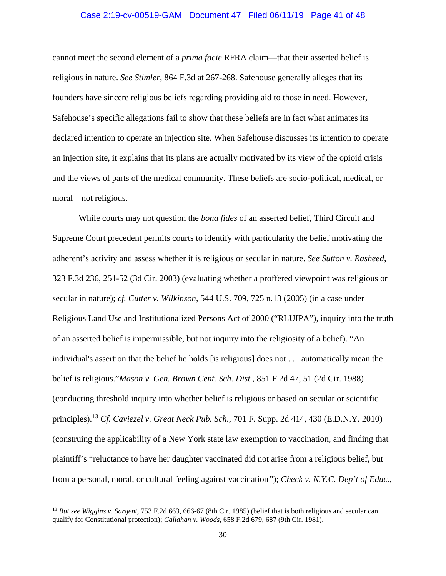#### Case 2:19-cv-00519-GAM Document 47 Filed 06/11/19 Page 41 of 48

cannot meet the second element of a *prima facie* RFRA claim—that their asserted belief is religious in nature. *See Stimler*, 864 F.3d at 267-268. Safehouse generally alleges that its founders have sincere religious beliefs regarding providing aid to those in need. However, Safehouse's specific allegations fail to show that these beliefs are in fact what animates its declared intention to operate an injection site. When Safehouse discusses its intention to operate an injection site, it explains that its plans are actually motivated by its view of the opioid crisis and the views of parts of the medical community. These beliefs are socio-political, medical, or moral – not religious.

While courts may not question the *bona fides* of an asserted belief, Third Circuit and Supreme Court precedent permits courts to identify with particularity the belief motivating the adherent's activity and assess whether it is religious or secular in nature. *See Sutton v. Rasheed*, 323 F.3d 236, 251-52 (3d Cir. 2003) (evaluating whether a proffered viewpoint was religious or secular in nature); *cf. Cutter v. Wilkinson*, 544 U.S. 709, 725 n.13 (2005) (in a case under Religious Land Use and Institutionalized Persons Act of 2000 ("RLUIPA"), inquiry into the truth of an asserted belief is impermissible, but not inquiry into the religiosity of a belief). "An individual's assertion that the belief he holds [is religious] does not . . . automatically mean the belief is religious."*Mason v. Gen. Brown Cent. Sch. Dist.*, 851 F.2d 47, 51 (2d Cir. 1988) (conducting threshold inquiry into whether belief is religious or based on secular or scientific principles).[13](#page-40-0) *Cf. Caviezel v. Great Neck Pub. Sch.*, 701 F. Supp. 2d 414, 430 (E.D.N.Y. 2010) (construing the applicability of a New York state law exemption to vaccination, and finding that plaintiff's "reluctance to have her daughter vaccinated did not arise from a religious belief, but from a personal, moral, or cultural feeling against vaccination*"*); *Check v. N.Y.C. Dep't of Educ.*,

<span id="page-40-0"></span> <sup>13</sup> *But see Wiggins v. Sargent*, 753 F.2d 663, 666-67 (8th Cir. 1985) (belief that is both religious and secular can qualify for Constitutional protection); *Callahan v. Woods*, 658 F.2d 679, 687 (9th Cir. 1981).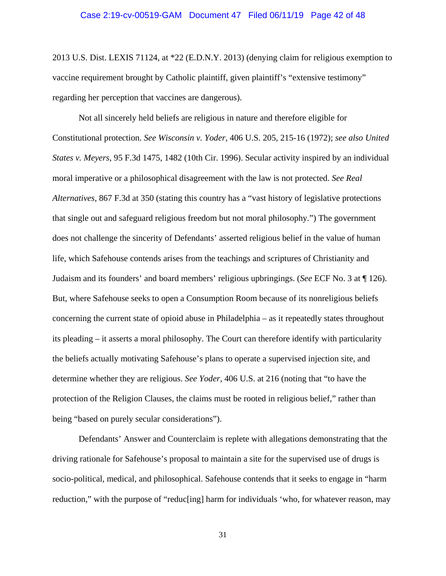2013 U.S. Dist. LEXIS 71124, at \*22 (E.D.N.Y. 2013) (denying claim for religious exemption to vaccine requirement brought by Catholic plaintiff, given plaintiff's "extensive testimony" regarding her perception that vaccines are dangerous).

Not all sincerely held beliefs are religious in nature and therefore eligible for Constitutional protection. *See Wisconsin v. Yoder*, 406 U.S. 205, 215-16 (1972); *see also United States v. Meyers*, 95 F.3d 1475, 1482 (10th Cir. 1996). Secular activity inspired by an individual moral imperative or a philosophical disagreement with the law is not protected. *See Real Alternatives*, 867 F.3d at 350 (stating this country has a "vast history of legislative protections that single out and safeguard religious freedom but not moral philosophy.") The government does not challenge the sincerity of Defendants' asserted religious belief in the value of human life, which Safehouse contends arises from the teachings and scriptures of Christianity and Judaism and its founders' and board members' religious upbringings. (*See* ECF No. 3 at ¶ 126). But, where Safehouse seeks to open a Consumption Room because of its nonreligious beliefs concerning the current state of opioid abuse in Philadelphia – as it repeatedly states throughout its pleading – it asserts a moral philosophy. The Court can therefore identify with particularity the beliefs actually motivating Safehouse's plans to operate a supervised injection site, and determine whether they are religious. *See Yoder*, 406 U.S. at 216 (noting that "to have the protection of the Religion Clauses, the claims must be rooted in religious belief," rather than being "based on purely secular considerations").

Defendants' Answer and Counterclaim is replete with allegations demonstrating that the driving rationale for Safehouse's proposal to maintain a site for the supervised use of drugs is socio-political, medical, and philosophical. Safehouse contends that it seeks to engage in "harm reduction," with the purpose of "reduc[ing] harm for individuals 'who, for whatever reason, may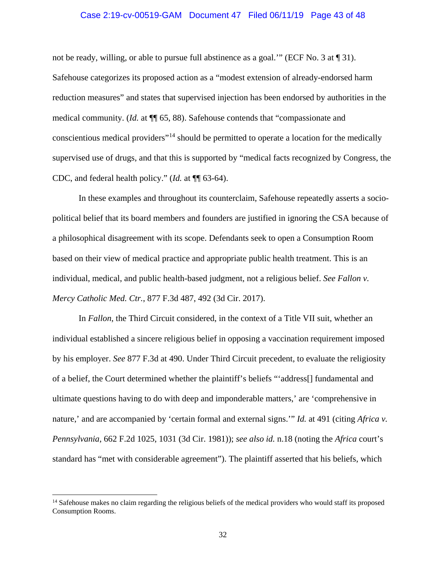#### Case 2:19-cv-00519-GAM Document 47 Filed 06/11/19 Page 43 of 48

not be ready, willing, or able to pursue full abstinence as a goal." (ECF No. 3 at  $\P$  31). Safehouse categorizes its proposed action as a "modest extension of already-endorsed harm reduction measures" and states that supervised injection has been endorsed by authorities in the medical community. (*Id.* at ¶¶ 65, 88). Safehouse contends that "compassionate and conscientious medical providers"[14](#page-42-0) should be permitted to operate a location for the medically supervised use of drugs, and that this is supported by "medical facts recognized by Congress, the CDC, and federal health policy." (*Id.* at ¶¶ 63-64).

In these examples and throughout its counterclaim, Safehouse repeatedly asserts a sociopolitical belief that its board members and founders are justified in ignoring the CSA because of a philosophical disagreement with its scope. Defendants seek to open a Consumption Room based on their view of medical practice and appropriate public health treatment. This is an individual, medical, and public health-based judgment, not a religious belief. *See Fallon v. Mercy Catholic Med. Ctr.*, 877 F.3d 487, 492 (3d Cir. 2017).

In *Fallon*, the Third Circuit considered, in the context of a Title VII suit, whether an individual established a sincere religious belief in opposing a vaccination requirement imposed by his employer. *See* 877 F.3d at 490. Under Third Circuit precedent, to evaluate the religiosity of a belief, the Court determined whether the plaintiff's beliefs "'address[] fundamental and ultimate questions having to do with deep and imponderable matters,' are 'comprehensive in nature,' and are accompanied by 'certain formal and external signs.'" *Id.* at 491 (citing *Africa v. Pennsylvania*, 662 F.2d 1025, 1031 (3d Cir. 1981)); *see also id.* n.18 (noting the *Africa* court's standard has "met with considerable agreement"). The plaintiff asserted that his beliefs, which

<span id="page-42-0"></span><sup>&</sup>lt;sup>14</sup> Safehouse makes no claim regarding the religious beliefs of the medical providers who would staff its proposed Consumption Rooms.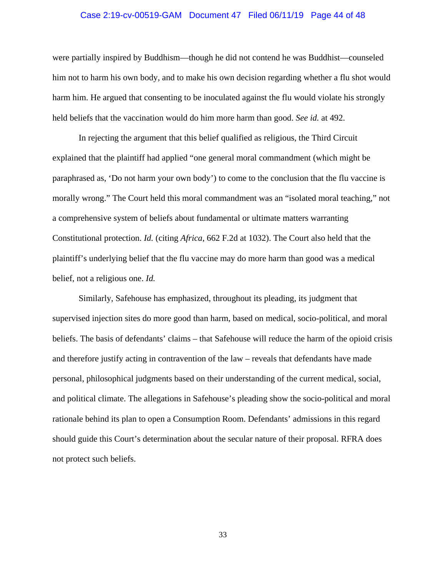#### Case 2:19-cv-00519-GAM Document 47 Filed 06/11/19 Page 44 of 48

were partially inspired by Buddhism—though he did not contend he was Buddhist—counseled him not to harm his own body, and to make his own decision regarding whether a flu shot would harm him. He argued that consenting to be inoculated against the flu would violate his strongly held beliefs that the vaccination would do him more harm than good. *See id.* at 492.

In rejecting the argument that this belief qualified as religious, the Third Circuit explained that the plaintiff had applied "one general moral commandment (which might be paraphrased as, 'Do not harm your own body') to come to the conclusion that the flu vaccine is morally wrong." The Court held this moral commandment was an "isolated moral teaching," not a comprehensive system of beliefs about fundamental or ultimate matters warranting Constitutional protection. *Id.* (citing *Africa*, 662 F.2d at 1032). The Court also held that the plaintiff's underlying belief that the flu vaccine may do more harm than good was a medical belief, not a religious one. *Id.*

Similarly, Safehouse has emphasized, throughout its pleading, its judgment that supervised injection sites do more good than harm, based on medical, socio-political, and moral beliefs. The basis of defendants' claims – that Safehouse will reduce the harm of the opioid crisis and therefore justify acting in contravention of the law – reveals that defendants have made personal, philosophical judgments based on their understanding of the current medical, social, and political climate. The allegations in Safehouse's pleading show the socio-political and moral rationale behind its plan to open a Consumption Room. Defendants' admissions in this regard should guide this Court's determination about the secular nature of their proposal. RFRA does not protect such beliefs.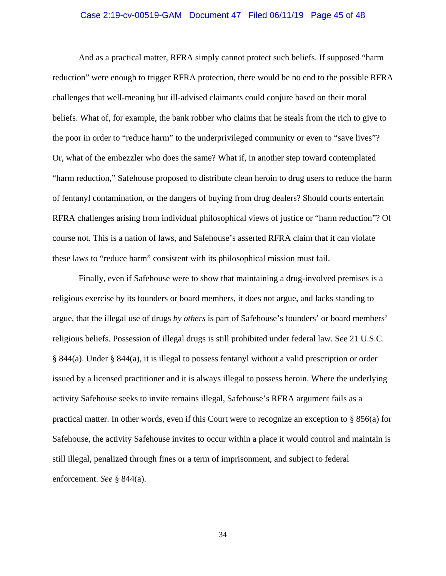#### Case 2:19-cv-00519-GAM Document 47 Filed 06/11/19 Page 45 of 48

And as a practical matter, RFRA simply cannot protect such beliefs. If supposed "harm reduction" were enough to trigger RFRA protection, there would be no end to the possible RFRA challenges that well-meaning but ill-advised claimants could conjure based on their moral beliefs. What of, for example, the bank robber who claims that he steals from the rich to give to the poor in order to "reduce harm" to the underprivileged community or even to "save lives"? Or, what of the embezzler who does the same? What if, in another step toward contemplated "harm reduction," Safehouse proposed to distribute clean heroin to drug users to reduce the harm of fentanyl contamination, or the dangers of buying from drug dealers? Should courts entertain RFRA challenges arising from individual philosophical views of justice or "harm reduction"? Of course not. This is a nation of laws, and Safehouse's asserted RFRA claim that it can violate these laws to "reduce harm" consistent with its philosophical mission must fail.

Finally, even if Safehouse were to show that maintaining a drug-involved premises is a religious exercise by its founders or board members, it does not argue, and lacks standing to argue, that the illegal use of drugs *by others* is part of Safehouse's founders' or board members' religious beliefs. Possession of illegal drugs is still prohibited under federal law. See 21 U.S.C. § 844(a). Under § 844(a), it is illegal to possess fentanyl without a valid prescription or order issued by a licensed practitioner and it is always illegal to possess heroin. Where the underlying activity Safehouse seeks to invite remains illegal, Safehouse's RFRA argument fails as a practical matter. In other words, even if this Court were to recognize an exception to § 856(a) for Safehouse, the activity Safehouse invites to occur within a place it would control and maintain is still illegal, penalized through fines or a term of imprisonment, and subject to federal enforcement. *See* § 844(a).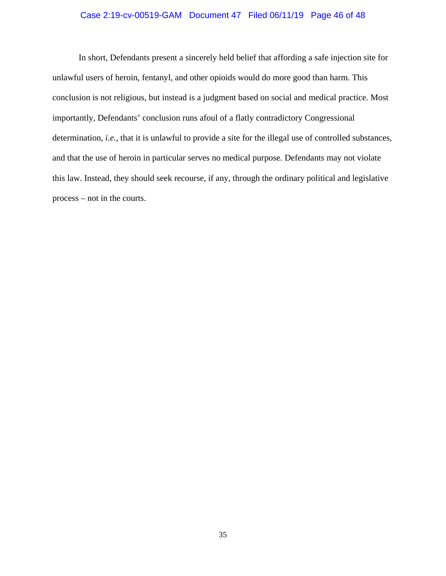#### Case 2:19-cv-00519-GAM Document 47 Filed 06/11/19 Page 46 of 48

In short, Defendants present a sincerely held belief that affording a safe injection site for unlawful users of heroin, fentanyl, and other opioids would do more good than harm. This conclusion is not religious, but instead is a judgment based on social and medical practice. Most importantly, Defendants' conclusion runs afoul of a flatly contradictory Congressional determination, *i.e.*, that it is unlawful to provide a site for the illegal use of controlled substances, and that the use of heroin in particular serves no medical purpose. Defendants may not violate this law. Instead, they should seek recourse, if any, through the ordinary political and legislative process – not in the courts.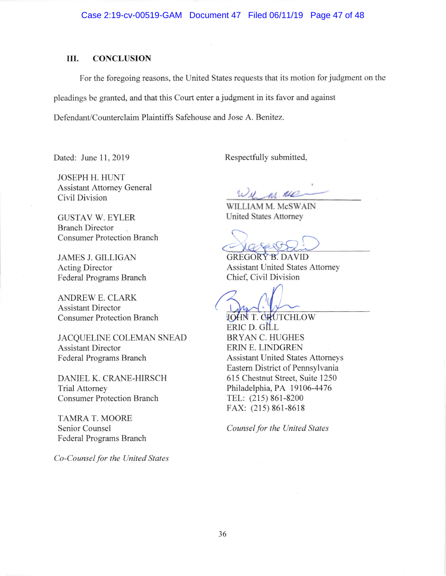#### III. CONCLUSION

For the foregoing reasons, the United States requests that its motion for judgment on the

pleadings be granted, and that this Court enter a judgment in its favor and against

Defendant/Counterclaim Plaintiffs Safehouse and Jose A. Benitez.

Dated: June 11, 2019 Respectfully submitted,

JOSEPH H. HUNT Assistant Attomey General Civil Division

GUSTAV W. EYLER Branch Director Consumer Protection Branch

JAMES J. GILLIGAN Acting Director Federal Programs Branch

ANDREW E. CLARK Assistant Director Consumer Protection Branch

JACQUELINE COLEMAN SNEAD Assistant Director Federal Programs Branch

DANIEL K. CRANE-HIRSCH Trial Attorney Consumer Protection Branch

TAMRA T. MOORE Senior Counsel Federal Programs Branch

Co-Counsel for the United States

M. ALD

WILLIAM M. McSWAIN United States Attomey

**GREGORY B. DAVID** Assistant United States Attomey Chief, Civil Division

JOHN T. CRUTCHLOW ERIC D. G L BRYAN C. HUGHES ERIN E. LINDGREN Assistant United States Attomeys Eastem District of Pennsylvania 615 Chestnut Street, Suite 1250 Philadelphia, PA 19106-4476 TEL: (215) 861-8200 FAX: (21s) 861-8618

Counsel for the United States